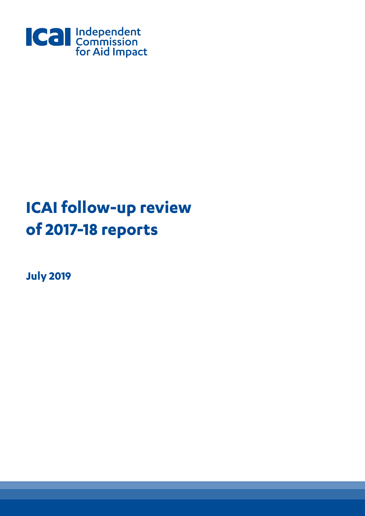

# **ICAI follow-up review of 2017-18 reports**

**July 2019**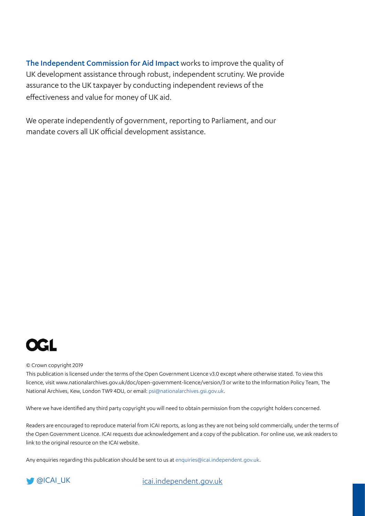The Independent Commission for Aid Impact works to improve the quality of UK development assistance through robust, independent scrutiny. We provide assurance to the UK taxpayer by conducting independent reviews of the effectiveness and value for money of UK aid.

We operate independently of government, reporting to Parliament, and our mandate covers all UK official development assistance.



#### © Crown copyright 2019

This publication is licensed under the terms of the Open Government Licence v3.0 except where otherwise stated. To view this licence, visit www.nationalarchives.gov.uk/doc/open-government-licence/version/3 or write to the Information Policy Team, The National Archives, Kew, London TW9 4DU, or email: [psi@nationalarchives.gsi.gov.uk](mailto:psi%40nationalarchives.gsi.gov.uk?subject=).

Where we have identified any third party copyright you will need to obtain permission from the copyright holders concerned.

Readers are encouraged to reproduce material from ICAI reports, as long as they are not being sold commercially, under the terms of the Open Government Licence. ICAI requests due acknowledgement and a copy of the publication. For online use, we ask readers to link to the original resource on the ICAI website.

Any enquiries regarding this publication should be sent to us at [enquiries@icai.independent.gov.uk](mailto:enquiries%40icai.independent.gov.uk?subject=).

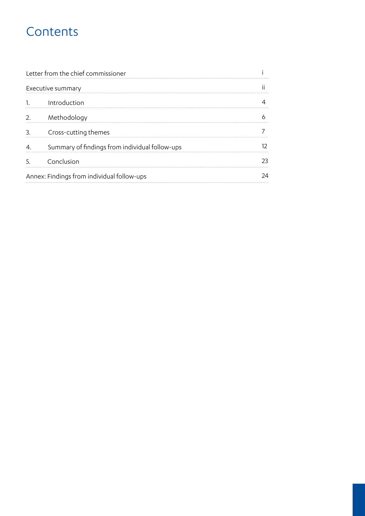## **Contents**

|                                            | Letter from the chief commissioner             |    |
|--------------------------------------------|------------------------------------------------|----|
|                                            | Executive summary                              |    |
|                                            | Introduction                                   |    |
| 2.                                         | Methodology                                    |    |
| 3                                          | Cross-cutting themes                           |    |
|                                            | Summary of findings from individual follow-ups |    |
|                                            | Conclusion                                     | フマ |
| Annex: Findings from individual follow-ups |                                                |    |
|                                            |                                                |    |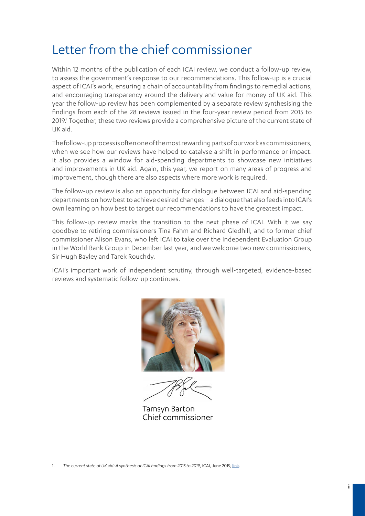## Letter from the chief commissioner

Within 12 months of the publication of each ICAI review, we conduct a follow-up review, to assess the government's response to our recommendations. This follow-up is a crucial aspect of ICAI's work, ensuring a chain of accountability from findings to remedial actions, and encouraging transparency around the delivery and value for money of UK aid. This year the follow-up review has been complemented by a separate review synthesising the findings from each of the 28 reviews issued in the four-year review period from 2015 to 2019.<sup>1</sup> Together, these two reviews provide a comprehensive picture of the current state of UK aid.

The follow-up process is often one of the most rewarding parts of our work as commissioners, when we see how our reviews have helped to catalyse a shift in performance or impact. It also provides a window for aid-spending departments to showcase new initiatives and improvements in UK aid. Again, this year, we report on many areas of progress and improvement, though there are also aspects where more work is required.

The follow-up review is also an opportunity for dialogue between ICAI and aid-spending departments on how best to achieve desired changes – a dialogue that also feeds into ICAI's own learning on how best to target our recommendations to have the greatest impact.

This follow-up review marks the transition to the next phase of ICAI. With it we say goodbye to retiring commissioners Tina Fahm and Richard Gledhill, and to former chief commissioner Alison Evans, who left ICAI to take over the Independent Evaluation Group in the World Bank Group in December last year, and we welcome two new commissioners, Sir Hugh Bayley and Tarek Rouchdy.

ICAI's important work of independent scrutiny, through well-targeted, evidence-based reviews and systematic follow-up continues.



Tamsyn Barton Chief commissioner

1. *The current state of UK aid: A synthesis of ICAI findings from 2015 to 2019*, ICAI, June 2019, [link.](https://icai.independent.gov.uk/report/the-current-state-of-uk-aid/)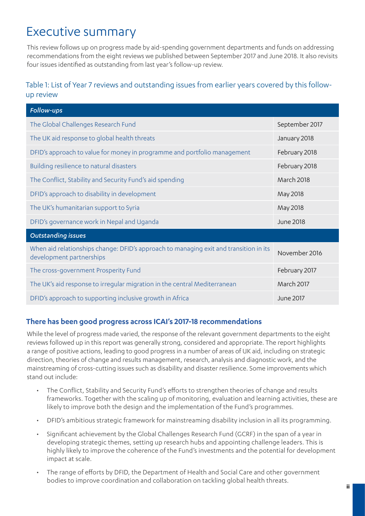## Executive summary

This review follows up on progress made by aid-spending government departments and funds on addressing recommendations from the eight reviews we published between September 2017 and June 2018. It also revisits four issues identified as outstanding from last year's follow-up review.

## Table 1: List of Year 7 reviews and outstanding issues from earlier years covered by this followup review

| Follow-ups                                                                                                        |                   |
|-------------------------------------------------------------------------------------------------------------------|-------------------|
| The Global Challenges Research Fund                                                                               | September 2017    |
| The UK aid response to global health threats                                                                      | January 2018      |
| DFID's approach to value for money in programme and portfolio management                                          | February 2018     |
| Building resilience to natural disasters                                                                          | February 2018     |
| The Conflict, Stability and Security Fund's aid spending                                                          | <b>March 2018</b> |
| DFID's approach to disability in development                                                                      | May 2018          |
| The UK's humanitarian support to Syria                                                                            | May 2018          |
| DFID's governance work in Nepal and Uganda                                                                        | June 2018         |
| <b>Outstanding issues</b>                                                                                         |                   |
| When aid relationships change: DFID's approach to managing exit and transition in its<br>development partnerships | November 2016     |
| The cross-government Prosperity Fund                                                                              | February 2017     |
| The UK's aid response to irregular migration in the central Mediterranean                                         | March 2017        |
| DFID's approach to supporting inclusive growth in Africa                                                          | June 2017         |

## **There has been good progress across ICAI's 2017-18 recommendations**

While the level of progress made varied, the response of the relevant government departments to the eight reviews followed up in this report was generally strong, considered and appropriate. The report highlights a range of positive actions, leading to good progress in a number of areas of UK aid, including on strategic direction, theories of change and results management, research, analysis and diagnostic work, and the mainstreaming of cross-cutting issues such as disability and disaster resilience. Some improvements which stand out include:

- The Conflict, Stability and Security Fund's efforts to strengthen theories of change and results frameworks. Together with the scaling up of monitoring, evaluation and learning activities, these are likely to improve both the design and the implementation of the Fund's programmes.
- DFID's ambitious strategic framework for mainstreaming disability inclusion in all its programming.
- Significant achievement by the Global Challenges Research Fund (GCRF) in the span of a year in developing strategic themes, setting up research hubs and appointing challenge leaders. This is highly likely to improve the coherence of the Fund's investments and the potential for development impact at scale.
- The range of efforts by DFID, the Department of Health and Social Care and other government bodies to improve coordination and collaboration on tackling global health threats.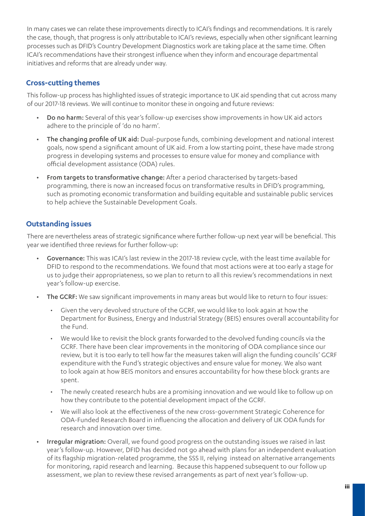In many cases we can relate these improvements directly to ICAI's findings and recommendations. It is rarely the case, though, that progress is only attributable to ICAI's reviews, especially when other significant learning processes such as DFID's Country Development Diagnostics work are taking place at the same time. Often ICAI's recommendations have their strongest influence when they inform and encourage departmental initiatives and reforms that are already under way.

## **Cross-cutting themes**

This follow-up process has highlighted issues of strategic importance to UK aid spending that cut across many of our 2017-18 reviews. We will continue to monitor these in ongoing and future reviews:

- Do no harm: Several of this year's follow-up exercises show improvements in how UK aid actors adhere to the principle of 'do no harm'.
- The changing profile of UK aid: Dual-purpose funds, combining development and national interest goals, now spend a significant amount of UK aid. From a low starting point, these have made strong progress in developing systems and processes to ensure value for money and compliance with official development assistance (ODA) rules.
- From targets to transformative change: After a period characterised by targets-based programming, there is now an increased focus on transformative results in DFID's programming, such as promoting economic transformation and building equitable and sustainable public services to help achieve the Sustainable Development Goals.

## **Outstanding issues**

There are nevertheless areas of strategic significance where further follow-up next year will be beneficial. This year we identified three reviews for further follow-up:

- Governance: This was ICAI's last review in the 2017-18 review cycle, with the least time available for DFID to respond to the recommendations. We found that most actions were at too early a stage for us to judge their appropriateness, so we plan to return to all this review's recommendations in next year's follow-up exercise.
- The GCRF: We saw significant improvements in many areas but would like to return to four issues:
	- Given the very devolved structure of the GCRF, we would like to look again at how the Department for Business, Energy and Industrial Strategy (BEIS) ensures overall accountability for the Fund.
	- We would like to revisit the block grants forwarded to the devolved funding councils via the GCRF. There have been clear improvements in the monitoring of ODA compliance since our review, but it is too early to tell how far the measures taken will align the funding councils' GCRF expenditure with the Fund's strategic objectives and ensure value for money. We also want to look again at how BEIS monitors and ensures accountability for how these block grants are spent.
	- The newly created research hubs are a promising innovation and we would like to follow up on how they contribute to the potential development impact of the GCRF.
	- We will also look at the effectiveness of the new cross-government Strategic Coherence for ODA-Funded Research Board in influencing the allocation and delivery of UK ODA funds for research and innovation over time.
- Irrequiar migration: Overall, we found good progress on the outstanding issues we raised in last year's follow-up. However, DFID has decided not go ahead with plans for an independent evaluation of its flagship migration-related programme, the SSS II, relying instead on alternative arrangements for monitoring, rapid research and learning. Because this happened subsequent to our follow up assessment, we plan to review these revised arrangements as part of next year's follow-up.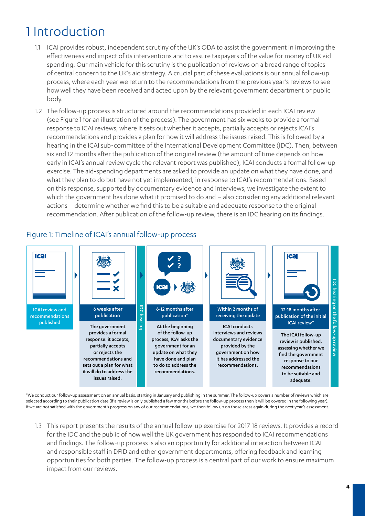## 1 Introduction

- 1.1 ICAI provides robust, independent scrutiny of the UK's ODA to assist the government in improving the effectiveness and impact of its interventions and to assure taxpayers of the value for money of UK aid spending. Our main vehicle for this scrutiny is the publication of reviews on a broad range of topics of central concern to the UK's aid strategy. A crucial part of these evaluations is our annual follow-up process, where each year we return to the recommendations from the previous year's reviews to see how well they have been received and acted upon by the relevant government department or public body.
- 1.2 The follow-up process is structured around the recommendations provided in each ICAI review (see Figure 1 for an illustration of the process). The government has six weeks to provide a formal response to ICAI reviews, where it sets out whether it accepts, partially accepts or rejects ICAI's recommendations and provides a plan for how it will address the issues raised. This is followed by a hearing in the ICAI sub-committee of the International Development Committee (IDC). Then, between six and 12 months after the publication of the original review (the amount of time depends on how early in ICAI's annual review cycle the relevant report was published), ICAI conducts a formal follow-up exercise. The aid-spending departments are asked to provide an update on what they have done, and what they plan to do but have not yet implemented, in response to ICAI's recommendations. Based on this response, supported by documentary evidence and interviews, we investigate the extent to which the government has done what it promised to do and – also considering any additional relevant actions – determine whether we find this to be a suitable and adequate response to the original recommendation. After publication of the follow-up review, there is an IDC hearing on its findings.



Figure 1: Timeline of ICAI's annual follow-up process

\*We conduct our follow-up assessment on an annual basis, starting in January and publishing in the summer. The follow-up covers a number of reviews which are selected according to their publication date (if a review is only published a few months before the follow-up process then it will be covered in the following year). If we are not satisfied with the government's progress on any of our recommendations, we then follow up on those areas again during the next year's assessment.

1.3 This report presents the results of the annual follow-up exercise for 2017-18 reviews. It provides a record for the IDC and the public of how well the UK government has responded to ICAI recommendations and findings. The follow-up process is also an opportunity for additional interaction between ICAI and responsible staff in DFID and other government departments, offering feedback and learning opportunities for both parties. The follow-up process is a central part of our work to ensure maximum impact from our reviews.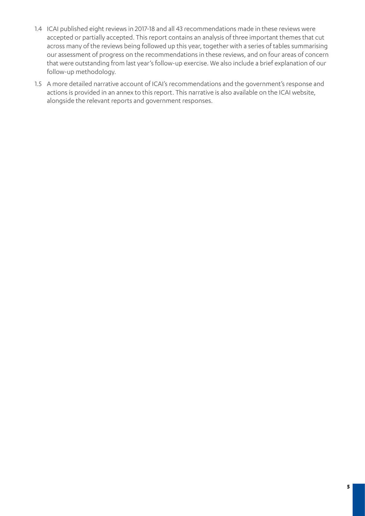- 1.4 ICAI published eight reviews in 2017-18 and all 43 recommendations made in these reviews were accepted or partially accepted. This report contains an analysis of three important themes that cut across many of the reviews being followed up this year, together with a series of tables summarising our assessment of progress on the recommendations in these reviews, and on four areas of concern that were outstanding from last year's follow-up exercise. We also include a brief explanation of our follow-up methodology.
- 1.5 A more detailed narrative account of ICAI's recommendations and the government's response and actions is provided in an annex to this report. This narrative is also available on the ICAI website, alongside the relevant reports and government responses.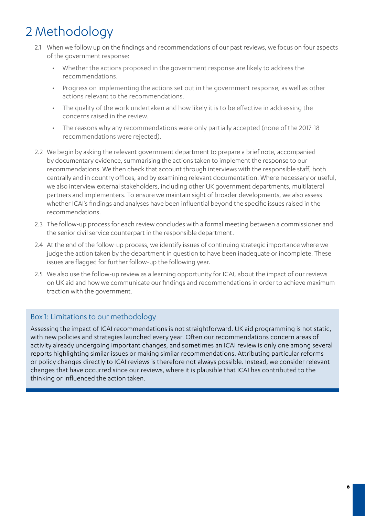## 2 Methodology

- 2.1 When we follow up on the findings and recommendations of our past reviews, we focus on four aspects of the government response:
	- Whether the actions proposed in the government response are likely to address the recommendations.
	- Progress on implementing the actions set out in the government response, as well as other actions relevant to the recommendations.
	- The quality of the work undertaken and how likely it is to be effective in addressing the concerns raised in the review.
	- The reasons why any recommendations were only partially accepted (none of the 2017-18 recommendations were rejected).
- 2.2 We begin by asking the relevant government department to prepare a brief note, accompanied by documentary evidence, summarising the actions taken to implement the response to our recommendations. We then check that account through interviews with the responsible staff, both centrally and in country offices, and by examining relevant documentation. Where necessary or useful, we also interview external stakeholders, including other UK government departments, multilateral partners and implementers. To ensure we maintain sight of broader developments, we also assess whether ICAI's findings and analyses have been influential beyond the specific issues raised in the recommendations.
- 2.3 The follow-up process for each review concludes with a formal meeting between a commissioner and the senior civil service counterpart in the responsible department.
- 2.4 At the end of the follow-up process, we identify issues of continuing strategic importance where we judge the action taken by the department in question to have been inadequate or incomplete. These issues are flagged for further follow-up the following year.
- 2.5 We also use the follow-up review as a learning opportunity for ICAI, about the impact of our reviews on UK aid and how we communicate our findings and recommendations in order to achieve maximum traction with the government.

## Box 1: Limitations to our methodology

Assessing the impact of ICAI recommendations is not straightforward. UK aid programming is not static, with new policies and strategies launched every year. Often our recommendations concern areas of activity already undergoing important changes, and sometimes an ICAI review is only one among several reports highlighting similar issues or making similar recommendations. Attributing particular reforms or policy changes directly to ICAI reviews is therefore not always possible. Instead, we consider relevant changes that have occurred since our reviews, where it is plausible that ICAI has contributed to the thinking or influenced the action taken.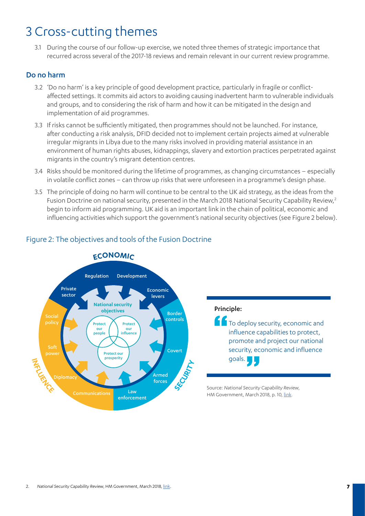## 3 Cross-cutting themes

3.1 During the course of our follow-up exercise, we noted three themes of strategic importance that recurred across several of the 2017-18 reviews and remain relevant in our current review programme.

## Do no harm

- 3.2 'Do no harm' is a key principle of good development practice, particularly in fragile or conflictaffected settings. It commits aid actors to avoiding causing inadvertent harm to vulnerable individuals and groups, and to considering the risk of harm and how it can be mitigated in the design and implementation of aid programmes.
- 3.3 If risks cannot be sufficiently mitigated, then programmes should not be launched. For instance, after conducting a risk analysis, DFID decided not to implement certain projects aimed at vulnerable irregular migrants in Libya due to the many risks involved in providing material assistance in an environment of human rights abuses, kidnappings, slavery and extortion practices perpetrated against migrants in the country's migrant detention centres.
- 3.4 Risks should be monitored during the lifetime of programmes, as changing circumstances especially in volatile conflict zones – can throw up risks that were unforeseen in a programme's design phase.
- 3.5 The principle of doing no harm will continue to be central to the UK aid strategy, as the ideas from the Fusion Doctrine on national security, presented in the March 2018 National Security Capability Review,<sup>2</sup> begin to inform aid programming. UK aid is an important link in the chain of political, economic and influencing activities which support the government's national security objectives (see Figure 2 below).



## Figure 2: The objectives and tools of the Fusion Doctrine

#### Principle:

**T** To deploy security, economic and influence capabilities to protect, promote and project our national security, economic and influence goals.

Source: *National Security Capability Review*, HM Government, March 2018, p. 10, [link.](https://www.gov.uk/government/publications/national-security-capability-review-nscr)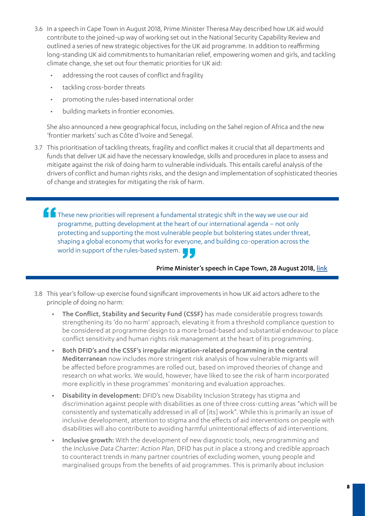- 3.6 In a speech in Cape Town in August 2018, Prime Minister Theresa May described how UK aid would contribute to the joined-up way of working set out in the National Security Capability Review and outlined a series of new strategic objectives for the UK aid programme. In addition to reaffirming long-standing UK aid commitments to humanitarian relief, empowering women and girls, and tackling climate change, she set out four thematic priorities for UK aid:
	- addressing the root causes of conflict and fragility
	- tackling cross-border threats
	- promoting the rules-based international order
	- building markets in frontier economies.

She also announced a new geographical focus, including on the Sahel region of Africa and the new 'frontier markets' such as Côte d'Ivoire and Senegal.

- 3.7 This prioritisation of tackling threats, fragility and conflict makes it crucial that all departments and funds that deliver UK aid have the necessary knowledge, skills and procedures in place to assess and mitigate against the risk of doing harm to vulnerable individuals. This entails careful analysis of the drivers of conflict and human rights risks, and the design and implementation of sophisticated theories of change and strategies for mitigating the risk of harm.
	- These new priorities will represent a fundamental strategic shift in the way we use our aid programme, putting development at the heart of our international agenda – not only protecting and supporting the most vulnerable people but bolstering states under threat, shaping a global economy that works for everyone, and building co-operation across the world in support of the rules-based system.

#### Prime Minister's speech in Cape Town, 28 August 2018, [link](https://www.gov.uk/government/speeches/pms-speech-in-cape-town-28-august-2018)

- 3.8 This year's follow-up exercise found significant improvements in how UK aid actors adhere to the principle of doing no harm:
	- The Conflict, Stability and Security Fund (CSSF) has made considerable progress towards strengthening its 'do no harm' approach, elevating it from a threshold compliance question to be considered at programme design to a more broad-based and substantial endeavour to place conflict sensitivity and human rights risk management at the heart of its programming.
	- Both DFID's and the CSSF's irregular migration-related programming in the central Mediterranean now includes more stringent risk analysis of how vulnerable migrants will be affected before programmes are rolled out, based on improved theories of change and research on what works. We would, however, have liked to see the risk of harm incorporated more explicitly in these programmes' monitoring and evaluation approaches.
	- Disability in development: DFID's new Disability Inclusion Strategy has stigma and discrimination against people with disabilities as one of three cross-cutting areas "which will be consistently and systematically addressed in all of [its] work". While this is primarily an issue of inclusive development, attention to stigma and the effects of aid interventions on people with disabilities will also contribute to avoiding harmful unintentional effects of aid interventions.
	- Inclusive growth: With the development of new diagnostic tools, new programming and the *Inclusive Data Charter: Action Plan*, DFID has put in place a strong and credible approach to counteract trends in many partner countries of excluding women, young people and marginalised groups from the benefits of aid programmes. This is primarily about inclusion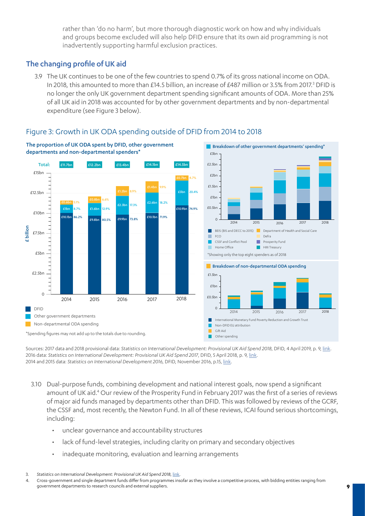rather than 'do no harm', but more thorough diagnostic work on how and why individuals and groups become excluded will also help DFID ensure that its own aid programming is not inadvertently supporting harmful exclusion practices.

## The changing profile of UK aid

3.9 The UK continues to be one of the few countries to spend 0.7% of its gross national income on ODA. In 2018, this amounted to more than £14.5 billion, an increase of £487 million or 3.5% from 2017.<sup>3</sup> DFID is no longer the only UK government department spending significant amounts of ODA. More than 25% of all UK aid in 2018 was accounted for by other government departments and by non-departmental expenditure (see Figure 3 below).



## Figure 3: Growth in UK ODA spending outside of DFID from 2014 to 2018

Sources: 2017 data and 2018 provisional data: *Statistics on International Development: Provisional UK Aid Spend 2018*, DFID, 4 April 2019, p. 9, [link.](https://assets.publishing.service.gov.uk/government/uploads/system/uploads/attachment_data/file/792687/Statistics-on-International-Development-Provisional-UK-Aid-Spend-2018.pdf) 2016 data: *Statistics on International Development: Provisional UK Aid Spend 2017*, DFID, 5 April 2018, p. 9, link. 2014 and 2015 data: *Statistics on International Development 2016,* DFID, November 2016, p.15, link.

- 3.10 Dual-purpose funds, combining development and national interest goals, now spend a significant amount of UK aid.<sup>4</sup> Our review of the Prosperity Fund in February 2017 was the first of a series of reviews of major aid funds managed by departments other than DFID. This was followed by reviews of the GCRF, the CSSF and, most recently, the Newton Fund. In all of these reviews, ICAI found serious shortcomings, including:
	- unclear governance and accountability structures
	- lack of fund-level strategies, including clarity on primary and secondary objectives
	- inadequate monitoring, evaluation and learning arrangements

<sup>3.</sup> *Statistics on International Development: Provisional UK Aid Spend 2018*, [link.](https://www.gov.uk/government/statistics/statistics-on-international-development-provisional-uk-aid-spend-2018)

<sup>4.</sup> Cross-government and single department funds differ from programmes insofar as they involve a competitive process, with bidding entities ranging from government departments to research councils and external suppliers.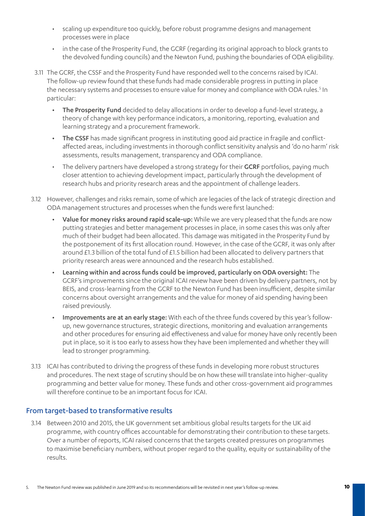- scaling up expenditure too quickly, before robust programme designs and management processes were in place
- in the case of the Prosperity Fund, the GCRF (regarding its original approach to block grants to the devolved funding councils) and the Newton Fund, pushing the boundaries of ODA eligibility.
- 3.11 The GCRF, the CSSF and the Prosperity Fund have responded well to the concerns raised by ICAI. The follow-up review found that these funds had made considerable progress in putting in place the necessary systems and processes to ensure value for money and compliance with ODA rules.<sup>5</sup> In particular:
	- The Prosperity Fund decided to delay allocations in order to develop a fund-level strategy, a theory of change with key performance indicators, a monitoring, reporting, evaluation and learning strategy and a procurement framework.
	- The CSSF has made significant progress in instituting good aid practice in fragile and conflictaffected areas, including investments in thorough conflict sensitivity analysis and 'do no harm' risk assessments, results management, transparency and ODA compliance.
	- The delivery partners have developed a strong strategy for their **GCRF** portfolios, paying much closer attention to achieving development impact, particularly through the development of research hubs and priority research areas and the appointment of challenge leaders.
- 3.12 However, challenges and risks remain, some of which are legacies of the lack of strategic direction and ODA management structures and processes when the funds were first launched:
	- Value for money risks around rapid scale-up: While we are very pleased that the funds are now putting strategies and better management processes in place, in some cases this was only after much of their budget had been allocated. This damage was mitigated in the Prosperity Fund by the postponement of its first allocation round. However, in the case of the GCRF, it was only after around £1.3 billion of the total fund of £1.5 billion had been allocated to delivery partners that priority research areas were announced and the research hubs established.
	- Learning within and across funds could be improved, particularly on ODA oversight: The GCRF's improvements since the original ICAI review have been driven by delivery partners, not by BEIS, and cross-learning from the GCRF to the Newton Fund has been insufficient, despite similar concerns about oversight arrangements and the value for money of aid spending having been raised previously.
	- Improvements are at an early stage: With each of the three funds covered by this year's followup, new governance structures, strategic directions, monitoring and evaluation arrangements and other procedures for ensuring aid effectiveness and value for money have only recently been put in place, so it is too early to assess how they have been implemented and whether they will lead to stronger programming.
- 3.13 ICAI has contributed to driving the progress of these funds in developing more robust structures and procedures. The next stage of scrutiny should be on how these will translate into higher-quality programming and better value for money. These funds and other cross-government aid programmes will therefore continue to be an important focus for ICAI.

## From target-based to transformative results

3.14 Between 2010 and 2015, the UK government set ambitious global results targets for the UK aid programme, with country offices accountable for demonstrating their contribution to these targets. Over a number of reports, ICAI raised concerns that the targets created pressures on programmes to maximise beneficiary numbers, without proper regard to the quality, equity or sustainability of the results.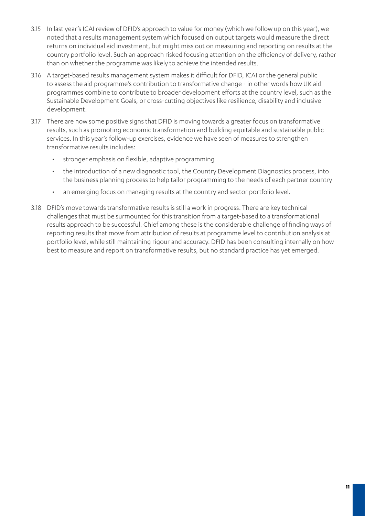- 3.15 In last year's ICAI review of DFID's approach to value for money (which we follow up on this year), we noted that a results management system which focused on output targets would measure the direct returns on individual aid investment, but might miss out on measuring and reporting on results at the country portfolio level. Such an approach risked focusing attention on the efficiency of delivery, rather than on whether the programme was likely to achieve the intended results.
- 3.16 A target-based results management system makes it difficult for DFID, ICAI or the general public to assess the aid programme's contribution to transformative change - in other words how UK aid programmes combine to contribute to broader development efforts at the country level, such as the Sustainable Development Goals, or cross-cutting objectives like resilience, disability and inclusive development.
- 3.17 There are now some positive signs that DFID is moving towards a greater focus on transformative results, such as promoting economic transformation and building equitable and sustainable public services. In this year's follow-up exercises, evidence we have seen of measures to strengthen transformative results includes:
	- stronger emphasis on flexible, adaptive programming
	- the introduction of a new diagnostic tool, the Country Development Diagnostics process, into the business planning process to help tailor programming to the needs of each partner country
	- an emerging focus on managing results at the country and sector portfolio level.
- 3.18 DFID's move towards transformative results is still a work in progress. There are key technical challenges that must be surmounted for this transition from a target-based to a transformational results approach to be successful. Chief among these is the considerable challenge of finding ways of reporting results that move from attribution of results at programme level to contribution analysis at portfolio level, while still maintaining rigour and accuracy. DFID has been consulting internally on how best to measure and report on transformative results, but no standard practice has yet emerged.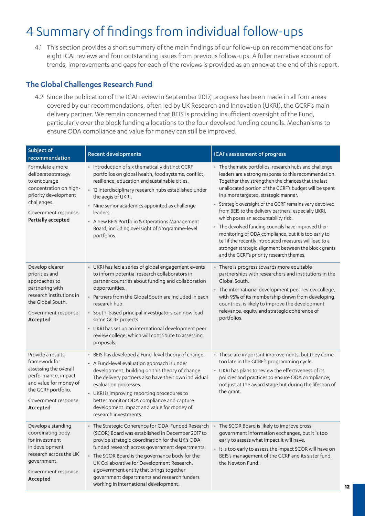## 4 Summary of findings from individual follow-ups

4.1 This section provides a short summary of the main findings of our follow-up on recommendations for eight ICAI reviews and four outstanding issues from previous follow-ups. A fuller narrative account of trends, improvements and gaps for each of the reviews is provided as an annex at the end of this report.

## **The Global Challenges Research Fund**

4.2 Since the publication of the ICAI review in September 2017, progress has been made in all four areas covered by our recommendations, often led by UK Research and Innovation (UKRI), the GCRF's main delivery partner. We remain concerned that BEIS is providing insufficient oversight of the Fund, particularly over the block funding allocations to the four devolved funding councils. Mechanisms to ensure ODA compliance and value for money can still be improved.

| Subject of<br>recommendation                                                                                                                                            | <b>Recent developments</b>                                                                                                                                                                                                                                                                                                                                                                                                                                    | ICAI's assessment of progress                                                                                                                                                                                                                                                                                                                                                                                                                                                                                                                                                                                                                                                                                     |
|-------------------------------------------------------------------------------------------------------------------------------------------------------------------------|---------------------------------------------------------------------------------------------------------------------------------------------------------------------------------------------------------------------------------------------------------------------------------------------------------------------------------------------------------------------------------------------------------------------------------------------------------------|-------------------------------------------------------------------------------------------------------------------------------------------------------------------------------------------------------------------------------------------------------------------------------------------------------------------------------------------------------------------------------------------------------------------------------------------------------------------------------------------------------------------------------------------------------------------------------------------------------------------------------------------------------------------------------------------------------------------|
| Formulate a more<br>deliberate strategy<br>to encourage<br>concentration on high-<br>priority development<br>challenges.<br>Government response:<br>Partially accepted  | • Introduction of six thematically distinct GCRF<br>portfolios on global health, food systems, conflict,<br>resilience, education and sustainable cities.<br>· 12 interdisciplinary research hubs established under<br>the aegis of UKRI.<br>• Nine senior academics appointed as challenge<br>leaders.<br>• A new BEIS Portfolio & Operations Management<br>Board, including oversight of programme-level<br>portfolios.                                     | • The thematic portfolios, research hubs and challenge<br>leaders are a strong response to this recommendation.<br>Together they strengthen the chances that the last<br>unallocated portion of the GCRF's budget will be spent<br>in a more targeted, strategic manner.<br>• Strategic oversight of the GCRF remains very devolved<br>from BEIS to the delivery partners, especially UKRI,<br>which poses an accountability risk.<br>• The devolved funding councils have improved their<br>monitoring of ODA compliance, but it is too early to<br>tell if the recently introduced measures will lead to a<br>stronger strategic alignment between the block grants<br>and the GCRF's priority research themes. |
| Develop clearer<br>priorities and<br>approaches to<br>partnering with<br>research institutions in<br>the Global South.<br>Government response:<br>Accepted              | • UKRI has led a series of global engagement events<br>to inform potential research collaborators in<br>partner countries about funding and collaboration<br>opportunities.<br>• Partners from the Global South are included in each<br>research hub.<br>· South-based principal investigators can now lead<br>some GCRF projects.<br>• UKRI has set up an international development peer<br>review college, which will contribute to assessing<br>proposals. | • There is progress towards more equitable<br>partnerships with researchers and institutions in the<br>Global South.<br>• The international development peer review college,<br>with 95% of its membership drawn from developing<br>countries, is likely to improve the development<br>relevance, equity and strategic coherence of<br>portfolios.                                                                                                                                                                                                                                                                                                                                                                |
| Provide a results<br>framework for<br>assessing the overall<br>performance, impact<br>and value for money of<br>the GCRF portfolio.<br>Government response:<br>Accepted | • BEIS has developed a Fund-level theory of change.<br>• A Fund-level evaluation approach is under<br>development, building on this theory of change.<br>The delivery partners also have their own individual<br>evaluation processes.<br>• UKRI is improving reporting procedures to<br>better monitor ODA compliance and capture<br>development impact and value for money of<br>research investments.                                                      | • These are important improvements, but they come<br>too late in the GCRF's programming cycle.<br>• UKRI has plans to review the effectiveness of its<br>policies and practices to ensure ODA compliance,<br>not just at the award stage but during the lifespan of<br>the grant.                                                                                                                                                                                                                                                                                                                                                                                                                                 |
| Develop a standing<br>coordinating body<br>for investment<br>in development<br>research across the UK<br>government.<br>Government response:<br>Accepted                | • The Strategic Coherence for ODA-Funded Research<br>(SCOR) Board was established in December 2017 to<br>provide strategic coordination for the UK's ODA-<br>funded research across government departments.<br>• The SCOR Board is the governance body for the<br>UK Collaborative for Development Research,<br>a government entity that brings together<br>government departments and research funders<br>working in international development.              | • The SCOR Board is likely to improve cross-<br>government information exchanges, but it is too<br>early to assess what impact it will have.<br>• It is too early to assess the impact SCOR will have on<br>BEIS's management of the GCRF and its sister fund,<br>the Newton Fund.                                                                                                                                                                                                                                                                                                                                                                                                                                |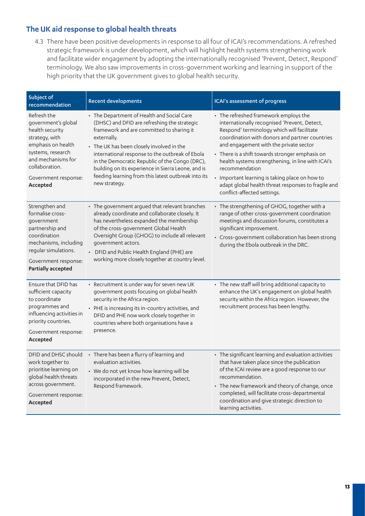## **The UK aid response to global health threats**

4.3 There have been positive developments in response to all four of ICAI's recommendations. A refreshed strategic framework is under development, which will highlight health systems strengthening work and facilitate wider engagement by adopting the internationally recognised 'Prevent, Detect, Respond' terminology. We also saw improvements in cross-government working and learning in support of the high priority that the UK government gives to global health security.

| Subject of<br>recommendation                                                                                                                                                                   | <b>Recent developments</b>                                                                                                                                                                                                                                                                                                                                                                                                             | ICAI's assessment of progress                                                                                                                                                                                                                                                                                                                                                                                                                                                                     |
|------------------------------------------------------------------------------------------------------------------------------------------------------------------------------------------------|----------------------------------------------------------------------------------------------------------------------------------------------------------------------------------------------------------------------------------------------------------------------------------------------------------------------------------------------------------------------------------------------------------------------------------------|---------------------------------------------------------------------------------------------------------------------------------------------------------------------------------------------------------------------------------------------------------------------------------------------------------------------------------------------------------------------------------------------------------------------------------------------------------------------------------------------------|
| Refresh the<br>government's global<br>health security<br>strategy, with<br>emphasis on health<br>systems, research<br>and mechanisms for<br>collaboration.<br>Government response:<br>Accepted | • The Department of Health and Social Care<br>(DHSC) and DFID are refreshing the strategic<br>framework and are committed to sharing it<br>externally.<br>• The UK has been closely involved in the<br>international response to the outbreak of Ebola<br>in the Democratic Republic of the Congo (DRC),<br>building on its experience in Sierra Leone, and is<br>feeding learning from this latest outbreak into its<br>new strategy. | • The refreshed framework employs the<br>internationally recognised 'Prevent, Detect,<br>Respond' terminology which will facilitate<br>coordination with donors and partner countries<br>and engagement with the private sector<br>• There is a shift towards stronger emphasis on<br>health systems strengthening, in line with ICAI's<br>recommendation<br>• Important learning is taking place on how to<br>adapt global health threat responses to fragile and<br>conflict-affected settings. |
| Strengthen and<br>formalise cross-<br>government<br>partnership and<br>coordination<br>mechanisms, including<br>regular simulations.<br>Government response:<br>Partially accepted             | • The government argued that relevant branches<br>already coordinate and collaborate closely. It<br>has nevertheless expanded the membership<br>of the cross-government Global Health<br>Oversight Group (GHOG) to include all relevant<br>government actors.<br>• DFID and Public Health England (PHE) are<br>working more closely together at country level.                                                                         | • The strengthening of GHOG, together with a<br>range of other cross-government coordination<br>meetings and discussion forums, constitutes a<br>significant improvement.<br>• Cross-government collaboration has been strong<br>during the Ebola outbreak in the DRC.                                                                                                                                                                                                                            |
| Ensure that DFID has<br>sufficient capacity<br>to coordinate<br>programmes and<br>influencing activities in<br>priority countries.<br>Government response:<br>Accepted                         | • Recruitment is under way for seven new UK<br>government posts focusing on global health<br>security in the Africa region.<br>• PHE is increasing its in-country activities, and<br>DFID and PHE now work closely together in<br>countries where both organisations have a<br>presence.                                                                                                                                               | • The new staff will bring additional capacity to<br>enhance the UK's engagement on global health<br>security within the Africa region. However, the<br>recruitment process has been lengthy.                                                                                                                                                                                                                                                                                                     |
| DFID and DHSC should<br>work together to<br>prioritise learning on<br>global health threats<br>across government.<br>Government response:<br>Accepted                                          | • There has been a flurry of learning and<br>evaluation activities.<br>• We do not yet know how learning will be<br>incorporated in the new Prevent, Detect,<br>Respond framework.                                                                                                                                                                                                                                                     | • The significant learning and evaluation activities<br>that have taken place since the publication<br>of the ICAI review are a good response to our<br>recommendation.<br>• The new framework and theory of change, once<br>completed, will facilitate cross-departmental<br>coordination and give strategic direction to<br>learning activities.                                                                                                                                                |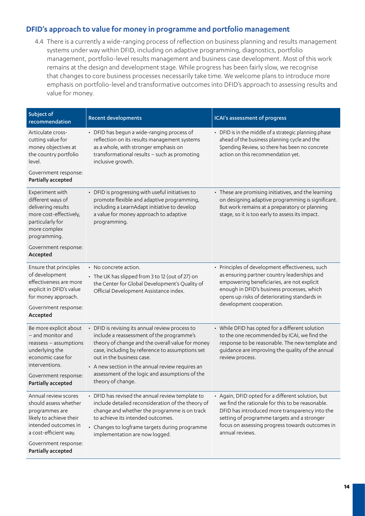## **DFID's approach to value for money in programme and portfolio management**

4.4 There is a currently a wide-ranging process of reflection on business planning and results management systems under way within DFID, including on adaptive programming, diagnostics, portfolio management, portfolio-level results management and business case development. Most of this work remains at the design and development stage. While progress has been fairly slow, we recognise that changes to core business processes necessarily take time. We welcome plans to introduce more emphasis on portfolio-level and transformative outcomes into DFID's approach to assessing results and value for money.

| Subject of<br>recommendation                                                                                                                                                              | <b>Recent developments</b>                                                                                                                                                                                                                                                                                                                                  | ICAI's assessment of progress                                                                                                                                                                                                                                                |
|-------------------------------------------------------------------------------------------------------------------------------------------------------------------------------------------|-------------------------------------------------------------------------------------------------------------------------------------------------------------------------------------------------------------------------------------------------------------------------------------------------------------------------------------------------------------|------------------------------------------------------------------------------------------------------------------------------------------------------------------------------------------------------------------------------------------------------------------------------|
| Articulate cross-<br>cutting value for<br>money objectives at<br>the country portfolio<br>level.                                                                                          | • DFID has begun a wide-ranging process of<br>reflection on its results management systems<br>as a whole, with stronger emphasis on<br>transformational results - such as promoting<br>inclusive growth.                                                                                                                                                    | • DFID is in the middle of a strategic planning phase<br>ahead of the business planning cycle and the<br>Spending Review, so there has been no concrete<br>action on this recommendation yet.                                                                                |
| Government response:<br>Partially accepted                                                                                                                                                |                                                                                                                                                                                                                                                                                                                                                             |                                                                                                                                                                                                                                                                              |
| Experiment with<br>different ways of<br>delivering results<br>more cost-effectively,<br>particularly for<br>more complex<br>programming.                                                  | • DFID is progressing with useful initiatives to<br>promote flexible and adaptive programming,<br>including a LearnAdapt initiative to develop<br>a value for money approach to adaptive<br>programming.                                                                                                                                                    | • These are promising initiatives, and the learning<br>on designing adaptive programming is significant.<br>But work remains at a preparatory or planning<br>stage, so it is too early to assess its impact.                                                                 |
| Government response:<br>Accepted                                                                                                                                                          |                                                                                                                                                                                                                                                                                                                                                             |                                                                                                                                                                                                                                                                              |
| Ensure that principles<br>of development<br>effectiveness are more<br>explicit in DFID's value<br>for money approach.<br>Government response:<br>Accepted                                 | $\cdot$ No concrete action.<br>• The UK has slipped from 3 to 12 (out of 27) on<br>the Center for Global Development's Quality of<br>Official Development Assistance index.                                                                                                                                                                                 | • Principles of development effectiveness, such<br>as ensuring partner country leaderships and<br>empowering beneficiaries, are not explicit<br>enough in DFID's business processes, which<br>opens up risks of deteriorating standards in<br>development cooperation.       |
| Be more explicit about<br>- and monitor and<br>reassess - assumptions<br>underlying the<br>economic case for<br>interventions.<br>Government response:<br>Partially accepted              | • DFID is revising its annual review process to<br>include a reassessment of the programme's<br>theory of change and the overall value for money<br>case, including by reference to assumptions set<br>out in the business case.<br>• A new section in the annual review requires an<br>assessment of the logic and assumptions of the<br>theory of change. | • While DFID has opted for a different solution<br>to the one recommended by ICAI, we find the<br>response to be reasonable. The new template and<br>guidance are improving the quality of the annual<br>review process.                                                     |
| Annual review scores<br>should assess whether<br>programmes are<br>likely to achieve their<br>intended outcomes in<br>a cost-efficient way.<br>Government response:<br>Partially accepted | • DFID has revised the annual review template to<br>include detailed reconsideration of the theory of<br>change and whether the programme is on track<br>to achieve its intended outcomes.<br>• Changes to logframe targets during programme<br>implementation are now logged.                                                                              | • Again, DFID opted for a different solution, but<br>we find the rationale for this to be reasonable.<br>DFID has introduced more transparency into the<br>setting of programme targets and a stronger<br>focus on assessing progress towards outcomes in<br>annual reviews. |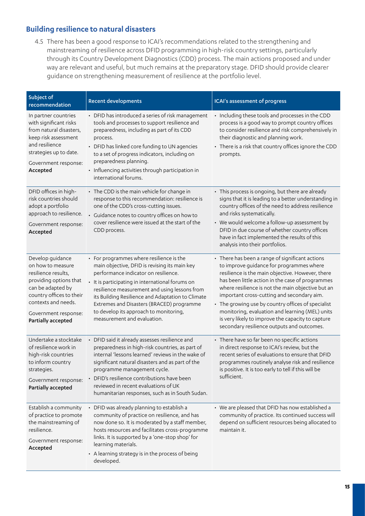## **Building resilience to natural disasters**

4.5 There has been a good response to ICAI's recommendations related to the strengthening and mainstreaming of resilience across DFID programming in high-risk country settings, particularly through its Country Development Diagnostics (CDD) process. The main actions proposed and under way are relevant and useful, but much remains at the preparatory stage. DFID should provide clearer guidance on strengthening measurement of resilience at the portfolio level.

| Subject of<br>recommendation                                                                                                                                                                                 | <b>Recent developments</b>                                                                                                                                                                                                                                                                                                                                                                                        | ICAI's assessment of progress                                                                                                                                                                                                                                                                                                                                                                                                                                                                                      |
|--------------------------------------------------------------------------------------------------------------------------------------------------------------------------------------------------------------|-------------------------------------------------------------------------------------------------------------------------------------------------------------------------------------------------------------------------------------------------------------------------------------------------------------------------------------------------------------------------------------------------------------------|--------------------------------------------------------------------------------------------------------------------------------------------------------------------------------------------------------------------------------------------------------------------------------------------------------------------------------------------------------------------------------------------------------------------------------------------------------------------------------------------------------------------|
| In partner countries<br>with significant risks<br>from natural disasters,<br>keep risk assessment<br>and resilience<br>strategies up to date.<br>Government response:<br>Accepted                            | • DFID has introduced a series of risk management<br>tools and processes to support resilience and<br>preparedness, including as part of its CDD<br>process.<br>• DFID has linked core funding to UN agencies<br>to a set of progress indicators, including on<br>preparedness planning.<br>• Influencing activities through participation in<br>international forums.                                            | • Including these tools and processes in the CDD<br>process is a good way to prompt country offices<br>to consider resilience and risk comprehensively in<br>their diagnostic and planning work.<br>• There is a risk that country offices ignore the CDD<br>prompts.                                                                                                                                                                                                                                              |
| DFID offices in high-<br>risk countries should<br>adopt a portfolio<br>approach to resilience.<br>Government response:<br>Accepted                                                                           | • The CDD is the main vehicle for change in<br>response to this recommendation: resilience is<br>one of the CDD's cross-cutting issues.<br>• Guidance notes to country offices on how to<br>cover resilience were issued at the start of the<br>CDD process.                                                                                                                                                      | • This process is ongoing, but there are already<br>signs that it is leading to a better understanding in<br>country offices of the need to address resilience<br>and risks systematically.<br>• We would welcome a follow-up assessment by<br>DFID in due course of whether country offices<br>have in fact implemented the results of this<br>analysis into their portfolios.                                                                                                                                    |
| Develop guidance<br>on how to measure<br>resilience results,<br>providing options that<br>can be adapted by<br>country offices to their<br>contexts and needs.<br>Government response:<br>Partially accepted | • For programmes where resilience is the<br>main objective, DFID is revising its main key<br>performance indicator on resilience.<br>• It is participating in international forums on<br>resilience measurement and using lessons from<br>its Building Resilience and Adaptation to Climate<br>Extremes and Disasters (BRACED) programme<br>to develop its approach to monitoring,<br>measurement and evaluation. | • There has been a range of significant actions<br>to improve guidance for programmes where<br>resilience is the main objective. However, there<br>has been little action in the case of programmes<br>where resilience is not the main objective but an<br>important cross-cutting and secondary aim.<br>• The growing use by country offices of specialist<br>monitoring, evaluation and learning (MEL) units<br>is very likely to improve the capacity to capture<br>secondary resilience outputs and outcomes. |
| Undertake a stocktake<br>of resilience work in<br>high-risk countries<br>to inform country<br>strategies.<br>Government response:<br>Partially accepted                                                      | • DFID said it already assesses resilience and<br>preparedness in high-risk countries, as part of<br>internal 'lessons learned' reviews in the wake of<br>significant natural disasters and as part of the<br>programme management cycle.<br>• DFID's resilience contributions have been<br>reviewed in recent evaluations of UK<br>humanitarian responses, such as in South Sudan.                               | • There have so far been no specific actions<br>in direct response to ICAI's review, but the<br>recent series of evaluations to ensure that DFID<br>programmes routinely analyse risk and resilience<br>is positive. It is too early to tell if this will be<br>sufficient.                                                                                                                                                                                                                                        |
| Establish a community<br>of practice to promote<br>the mainstreaming of<br>resilience.<br>Government response:<br>Accepted                                                                                   | • DFID was already planning to establish a<br>community of practice on resilience, and has<br>now done so. It is moderated by a staff member,<br>hosts resources and facilitates cross-programme<br>links. It is supported by a 'one-stop shop' for<br>learning materials.<br>• A learning strategy is in the process of being<br>developed.                                                                      | • We are pleased that DFID has now established a<br>community of practice. Its continued success will<br>depend on sufficient resources being allocated to<br>maintain it.                                                                                                                                                                                                                                                                                                                                         |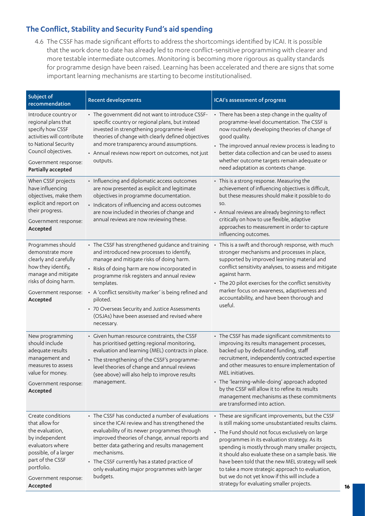## **The Conflict, Stability and Security Fund's aid spending**

4.6 The CSSF has made significant efforts to address the shortcomings identified by ICAI. It is possible that the work done to date has already led to more conflict-sensitive programming with clearer and more testable intermediate outcomes. Monitoring is becoming more rigorous as quality standards for programme design have been raised. Learning has been accelerated and there are signs that some important learning mechanisms are starting to become institutionalised.

| Subject of<br>recommendation                                                                                                                                                                | <b>Recent developments</b>                                                                                                                                                                                                                                                                                                                                                                                                                    | ICAI's assessment of progress                                                                                                                                                                                                                                                                                                                                                                                                                                                                                                       |
|---------------------------------------------------------------------------------------------------------------------------------------------------------------------------------------------|-----------------------------------------------------------------------------------------------------------------------------------------------------------------------------------------------------------------------------------------------------------------------------------------------------------------------------------------------------------------------------------------------------------------------------------------------|-------------------------------------------------------------------------------------------------------------------------------------------------------------------------------------------------------------------------------------------------------------------------------------------------------------------------------------------------------------------------------------------------------------------------------------------------------------------------------------------------------------------------------------|
| Introduce country or<br>regional plans that<br>specify how CSSF<br>activities will contribute<br>to National Security<br>Council objectives.<br>Government response:<br>Partially accepted  | • The government did not want to introduce CSSF-<br>specific country or regional plans, but instead<br>invested in strengthening programme-level<br>theories of change with clearly defined objectives<br>and more transparency around assumptions.<br>• Annual reviews now report on outcomes, not just<br>outputs.                                                                                                                          | • There has been a step change in the quality of<br>programme-level documentation. The CSSF is<br>now routinely developing theories of change of<br>good quality.<br>• The improved annual review process is leading to<br>better data collection and can be used to assess<br>whether outcome targets remain adequate or<br>need adaptation as contexts change.                                                                                                                                                                    |
| When CSSF projects<br>have influencing<br>objectives, make them<br>explicit and report on<br>their progress.<br>Government response:<br>Accepted                                            | • Influencing and diplomatic access outcomes<br>are now presented as explicit and legitimate<br>objectives in programme documentation.<br>• Indicators of influencing and access outcomes<br>are now included in theories of change and<br>annual reviews are now reviewing these.                                                                                                                                                            | • This is a strong response. Measuring the<br>achievement of influencing objectives is difficult,<br>but these measures should make it possible to do<br>SO.<br>• Annual reviews are already beginning to reflect<br>critically on how to use flexible, adaptive<br>approaches to measurement in order to capture<br>influencing outcomes.                                                                                                                                                                                          |
| Programmes should<br>demonstrate more<br>clearly and carefully<br>how they identify,<br>manage and mitigate<br>risks of doing harm.<br>Government response:<br>Accepted                     | • The CSSF has strengthened guidance and training<br>and introduced new processes to identify,<br>manage and mitigate risks of doing harm.<br>• Risks of doing harm are now incorporated in<br>programme risk registers and annual review<br>templates.<br>• A 'conflict sensitivity marker' is being refined and<br>piloted.<br>• 70 Overseas Security and Justice Assessments<br>(OSJAs) have been assessed and revised where<br>necessary. | • This is a swift and thorough response, with much<br>stronger mechanisms and processes in place,<br>supported by improved learning material and<br>conflict sensitivity analyses, to assess and mitigate<br>against harm.<br>• The 20 pilot exercises for the conflict sensitivity<br>marker focus on awareness, adaptiveness and<br>accountability, and have been thorough and<br>useful.                                                                                                                                         |
| New programming<br>should include<br>adequate results<br>management and<br>measures to assess<br>value for money.<br>Government response:<br>Accepted                                       | • Given human resource constraints, the CSSF<br>has prioritised getting regional monitoring,<br>evaluation and learning (MEL) contracts in place.<br>• The strengthening of the CSSF's programme-<br>level theories of change and annual reviews<br>(see above) will also help to improve results<br>management.                                                                                                                              | • The CSSF has made significant commitments to<br>improving its results management processes,<br>backed up by dedicated funding, staff<br>recruitment, independently contracted expertise<br>and other measures to ensure implementation of<br>MEL initiatives.<br>• The 'learning-while-doing' approach adopted<br>by the CSSF will allow it to refine its results<br>management mechanisms as these commitments<br>are transformed into action.                                                                                   |
| Create conditions<br>that allow for<br>the evaluation,<br>by independent<br>evaluators where<br>possible, of a larger<br>part of the CSSF<br>portfolio.<br>Government response:<br>Accepted | • The CSSF has conducted a number of evaluations<br>since the ICAI review and has strengthened the<br>evaluability of its newer programmes through<br>improved theories of change, annual reports and<br>better data gathering and results management<br>mechanisms.<br>• The CSSF currently has a stated practice of<br>only evaluating major programmes with larger<br>budgets.                                                             | • These are significant improvements, but the CSSF<br>is still making some unsubstantiated results claims.<br>• The Fund should not focus exclusively on large<br>programmes in its evaluation strategy. As its<br>spending is mostly through many smaller projects,<br>it should also evaluate these on a sample basis. We<br>have been told that the new MEL strategy will seek<br>to take a more strategic approach to evaluation,<br>but we do not yet know if this will include a<br>strategy for evaluating smaller projects. |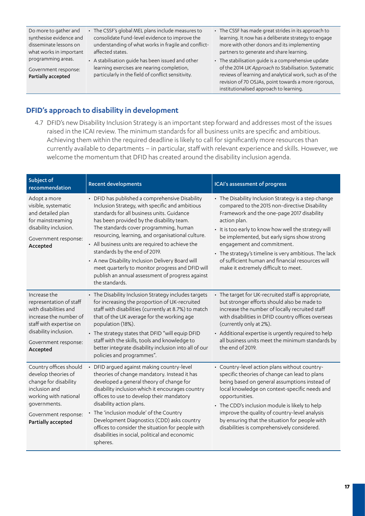Do more to gather and synthesise evidence and disseminate lessons on what works in important programming areas.

Government response: Partially accepted

• The CSSF's global MEL plans include measures to consolidate Fund-level evidence to improve the understanding of what works in fragile and conflictaffected states.

- A stabilisation guide has been issued and other learning exercises are nearing completion, particularly in the field of conflict sensitivity.
- The CSSF has made great strides in its approach to learning. It now has a deliberate strategy to engage more with other donors and its implementing partners to generate and share learning.
- The stabilisation guide is a comprehensive update of the 2014 *UK Approach to Stabilisation*. Systematic reviews of learning and analytical work, such as of the revision of 70 OSJAs, point towards a more rigorous, institutionalised approach to learning.

## **DFID's approach to disability in development**

4.7 DFID's new Disability Inclusion Strategy is an important step forward and addresses most of the issues raised in the ICAI review. The minimum standards for all business units are specific and ambitious. Achieving them within the required deadline is likely to call for significantly more resources than currently available to departments – in particular, staff with relevant experience and skills. However, we welcome the momentum that DFID has created around the disability inclusion agenda.

| Subject of<br>recommendation                                                                                                                                                       | <b>Recent developments</b>                                                                                                                                                                                                                                                                                                                                                                                                                                                                                                                                      | ICAI's assessment of progress                                                                                                                                                                                                                                                                                                                                                                                                                                 |
|------------------------------------------------------------------------------------------------------------------------------------------------------------------------------------|-----------------------------------------------------------------------------------------------------------------------------------------------------------------------------------------------------------------------------------------------------------------------------------------------------------------------------------------------------------------------------------------------------------------------------------------------------------------------------------------------------------------------------------------------------------------|---------------------------------------------------------------------------------------------------------------------------------------------------------------------------------------------------------------------------------------------------------------------------------------------------------------------------------------------------------------------------------------------------------------------------------------------------------------|
| Adopt a more<br>visible, systematic<br>and detailed plan<br>for mainstreaming<br>disability inclusion.<br>Government response:<br>Accepted                                         | • DFID has published a comprehensive Disability<br>Inclusion Strategy, with specific and ambitious<br>standards for all business units. Guidance<br>has been provided by the disability team.<br>The standards cover programming, human<br>resourcing, learning, and organisational culture.<br>• All business units are required to achieve the<br>standards by the end of 2019.<br>• A new Disability Inclusion Delivery Board will<br>meet quarterly to monitor progress and DFID will<br>publish an annual assessment of progress against<br>the standards. | • The Disability Inclusion Strategy is a step change<br>compared to the 2015 non-directive Disability<br>Framework and the one-page 2017 disability<br>action plan.<br>• It is too early to know how well the strategy will<br>be implemented, but early signs show strong<br>engagement and commitment.<br>• The strategy's timeline is very ambitious. The lack<br>of sufficient human and financial resources will<br>make it extremely difficult to meet. |
| Increase the<br>representation of staff<br>with disabilities and<br>increase the number of<br>staff with expertise on<br>disability inclusion.<br>Government response:<br>Accepted | • The Disability Inclusion Strategy includes targets<br>for increasing the proportion of UK-recruited<br>staff with disabilities (currently at 8.7%) to match<br>that of the UK average for the working age<br>population (18%).<br>• The strategy states that DFID "will equip DFID<br>staff with the skills, tools and knowledge to<br>better integrate disability inclusion into all of our<br>policies and programmes".                                                                                                                                     | • The target for UK-recruited staff is appropriate,<br>but stronger efforts should also be made to<br>increase the number of locally recruited staff<br>with disabilities in DFID country offices overseas<br>(currently only at 2%).<br>• Additional expertise is urgently required to help<br>all business units meet the minimum standards by<br>the end of 2019.                                                                                          |
| Country offices should<br>develop theories of<br>change for disability<br>inclusion and<br>working with national<br>governments.<br>Government response:<br>Partially accepted     | • DFID argued against making country-level<br>theories of change mandatory. Instead it has<br>developed a general theory of change for<br>disability inclusion which it encourages country<br>offices to use to develop their mandatory<br>disability action plans.<br>• The 'inclusion module' of the Country<br>Development Diagnostics (CDD) asks country<br>offices to consider the situation for people with<br>disabilities in social, political and economic<br>spheres.                                                                                 | • Country-level action plans without country-<br>specific theories of change can lead to plans<br>being based on general assumptions instead of<br>local knowledge on context-specific needs and<br>opportunities.<br>• The CDD's inclusion module is likely to help<br>improve the quality of country-level analysis<br>by ensuring that the situation for people with<br>disabilities is comprehensively considered.                                        |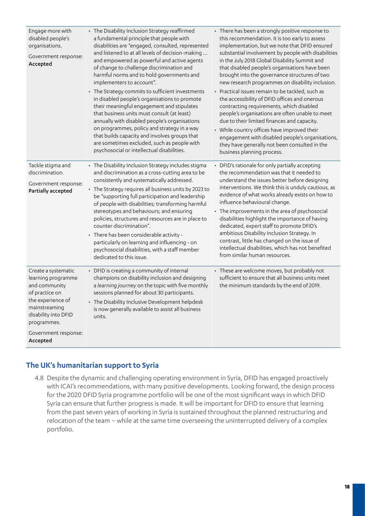| Engage more with<br>disabled people's<br>organisations.<br>Government response:<br>Accepted                                                                                                   | • The Disability Inclusion Strategy reaffirmed<br>a fundamental principle that people with<br>disabilities are "engaged, consulted, represented<br>and listened to at all levels of decision-making<br>and empowered as powerful and active agents<br>of change to challenge discrimination and<br>harmful norms and to hold governments and<br>implementers to account".<br>• The Strategy commits to sufficient investments<br>in disabled people's organisations to promote<br>their meaningful engagement and stipulates<br>that business units must consult (at least)<br>annually with disabled people's organisations<br>on programmes, policy and strategy in a way<br>that builds capacity and involves groups that<br>are sometimes excluded, such as people with<br>psychosocial or intellectual disabilities. | • There has been a strongly positive response to<br>this recommendation. It is too early to assess<br>implementation, but we note that DFID ensured<br>substantial involvement by people with disabilities<br>in the July 2018 Global Disability Summit and<br>that disabled people's organisations have been<br>brought into the governance structures of two<br>new research programmes on disability inclusion.<br>• Practical issues remain to be tackled, such as<br>the accessibility of DFID offices and onerous<br>contracting requirements, which disabled<br>people's organisations are often unable to meet<br>due to their limited finances and capacity.<br>• While country offices have improved their<br>engagement with disabled people's organisations,<br>they have generally not been consulted in the<br>business planning process. |
|-----------------------------------------------------------------------------------------------------------------------------------------------------------------------------------------------|---------------------------------------------------------------------------------------------------------------------------------------------------------------------------------------------------------------------------------------------------------------------------------------------------------------------------------------------------------------------------------------------------------------------------------------------------------------------------------------------------------------------------------------------------------------------------------------------------------------------------------------------------------------------------------------------------------------------------------------------------------------------------------------------------------------------------|---------------------------------------------------------------------------------------------------------------------------------------------------------------------------------------------------------------------------------------------------------------------------------------------------------------------------------------------------------------------------------------------------------------------------------------------------------------------------------------------------------------------------------------------------------------------------------------------------------------------------------------------------------------------------------------------------------------------------------------------------------------------------------------------------------------------------------------------------------|
| Tackle stigma and<br>discrimination.<br>Government response:<br>Partially accepted                                                                                                            | • The Disability Inclusion Strategy includes stigma<br>and discrimination as a cross-cutting area to be<br>consistently and systematically addressed.<br>• The Strategy requires all business units by 2023 to<br>be "supporting full participation and leadership<br>of people with disabilities; transforming harmful<br>stereotypes and behaviours; and ensuring<br>policies, structures and resources are in place to<br>counter discrimination".<br>• There has been considerable activity -<br>particularly on learning and influencing - on<br>psychosocial disabilities, with a staff member<br>dedicated to this issue.                                                                                                                                                                                          | • DFID's rationale for only partially accepting<br>the recommendation was that it needed to<br>understand the issues better before designing<br>interventions. We think this is unduly cautious, as<br>evidence of what works already exists on how to<br>influence behavioural change.<br>• The improvements in the area of psychosocial<br>disabilities highlight the importance of having<br>dedicated, expert staff to promote DFID's<br>ambitious Disability Inclusion Strategy. In<br>contrast, little has changed on the issue of<br>intellectual disabilities, which has not benefited<br>from similar human resources.                                                                                                                                                                                                                         |
| Create a systematic<br>learning programme<br>and community<br>of practice on<br>the experience of<br>mainstreaming<br>disability into DFID<br>programmes.<br>Government response:<br>Accepted | • DFID is creating a community of internal<br>champions on disability inclusion and designing<br>a learning journey on the topic with five monthly<br>sessions planned for about 30 participants.<br>• The Disability Inclusive Development helpdesk<br>is now generally available to assist all business<br>units.                                                                                                                                                                                                                                                                                                                                                                                                                                                                                                       | • These are welcome moves, but probably not<br>sufficient to ensure that all business units meet<br>the minimum standards by the end of 2019.                                                                                                                                                                                                                                                                                                                                                                                                                                                                                                                                                                                                                                                                                                           |

## **The UK's humanitarian support to Syria**

4.8 Despite the dynamic and challenging operating environment in Syria, DFID has engaged proactively with ICAI's recommendations, with many positive developments. Looking forward, the design process for the 2020 DFID Syria programme portfolio will be one of the most significant ways in which DFID Syria can ensure that further progress is made. It will be important for DFID to ensure that learning from the past seven years of working in Syria is sustained throughout the planned restructuring and relocation of the team – while at the same time overseeing the uninterrupted delivery of a complex portfolio.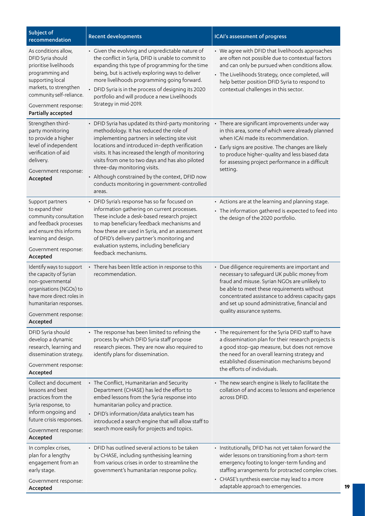| Subject of<br>recommendation                                                                                                                                                                                   | <b>Recent developments</b>                                                                                                                                                                                                                                                                                                                                                                                                                              | ICAI's assessment of progress                                                                                                                                                                                                                                                                                                    |
|----------------------------------------------------------------------------------------------------------------------------------------------------------------------------------------------------------------|---------------------------------------------------------------------------------------------------------------------------------------------------------------------------------------------------------------------------------------------------------------------------------------------------------------------------------------------------------------------------------------------------------------------------------------------------------|----------------------------------------------------------------------------------------------------------------------------------------------------------------------------------------------------------------------------------------------------------------------------------------------------------------------------------|
| As conditions allow,<br>DFID Syria should<br>prioritise livelihoods<br>programming and<br>supporting local<br>markets, to strengthen<br>community self-reliance.<br>Government response:<br>Partially accepted | • Given the evolving and unpredictable nature of<br>the conflict in Syria, DFID is unable to commit to<br>expanding this type of programming for the time<br>being, but is actively exploring ways to deliver<br>more livelihoods programming going forward.<br>• DFID Syria is in the process of designing its 2020<br>portfolio and will produce a new Livelihoods<br>Strategy in mid-2019.                                                           | • We agree with DFID that livelihoods approaches<br>are often not possible due to contextual factors<br>and can only be pursued when conditions allow.<br>• The Livelihoods Strategy, once completed, will<br>help better position DFID Syria to respond to<br>contextual challenges in this sector.                             |
| Strengthen third-<br>party monitoring<br>to provide a higher<br>level of independent<br>verification of aid<br>delivery.<br>Government response:<br>Accepted                                                   | • DFID Syria has updated its third-party monitoring<br>methodology. It has reduced the role of<br>implementing partners in selecting site visit<br>locations and introduced in-depth verification<br>visits. It has increased the length of monitoring<br>visits from one to two days and has also piloted<br>three-day monitoring visits.<br>• Although constrained by the context, DFID now<br>conducts monitoring in government-controlled<br>areas. | • There are significant improvements under way<br>in this area, some of which were already planned<br>when ICAI made its recommendation.<br>• Early signs are positive. The changes are likely<br>to produce higher-quality and less biased data<br>for assessing project performance in a difficult<br>setting.                 |
| Support partners<br>to expand their<br>community consultation<br>and feedback processes<br>and ensure this informs<br>learning and design.<br>Government response:<br>Accepted                                 | • DFID Syria's response has so far focused on<br>information gathering on current processes.<br>These include a desk-based research project<br>to map beneficiary feedback mechanisms and<br>how these are used in Syria, and an assessment<br>of DFID's delivery partner's monitoring and<br>evaluation systems, including beneficiary<br>feedback mechanisms.                                                                                         | • Actions are at the learning and planning stage.<br>• The information gathered is expected to feed into<br>the design of the 2020 portfolio.                                                                                                                                                                                    |
| Identify ways to support<br>the capacity of Syrian<br>non-governmental<br>organisations (NGOs) to<br>have more direct roles in<br>humanitarian responses.<br>Government response:<br>Accepted                  | • There has been little action in response to this<br>recommendation.                                                                                                                                                                                                                                                                                                                                                                                   | • Due diligence requirements are important and<br>necessary to safeguard UK public money from<br>fraud and misuse. Syrian NGOs are unlikely to<br>be able to meet these requirements without<br>concentrated assistance to address capacity gaps<br>and set up sound administrative, financial and<br>quality assurance systems. |
| DFID Syria should<br>develop a dynamic<br>research, learning and<br>dissemination strategy.<br>Government response:<br>Accepted                                                                                | • The response has been limited to refining the<br>process by which DFID Syria staff propose<br>research pieces. They are now also required to<br>identify plans for dissemination.                                                                                                                                                                                                                                                                     | • The requirement for the Syria DFID staff to have<br>a dissemination plan for their research projects is<br>a good stop-gap measure, but does not remove<br>the need for an overall learning strategy and<br>established dissemination mechanisms beyond<br>the efforts of individuals.                                         |
| Collect and document<br>lessons and best<br>practices from the<br>Syria response, to<br>inform ongoing and<br>future crisis responses.<br>Government response:<br>Accepted                                     | • The Conflict, Humanitarian and Security<br>Department (CHASE) has led the effort to<br>embed lessons from the Syria response into<br>humanitarian policy and practice.<br>• DFID's information/data analytics team has<br>introduced a search engine that will allow staff to<br>search more easily for projects and topics.                                                                                                                          | • The new search engine is likely to facilitate the<br>collation of and access to lessons and experience<br>across DFID.                                                                                                                                                                                                         |
| In complex crises,<br>plan for a lengthy<br>engagement from an<br>early stage.<br>Government response:<br>Accepted                                                                                             | • DFID has outlined several actions to be taken<br>by CHASE, including synthesising learning<br>from various crises in order to streamline the<br>government's humanitarian response policy.                                                                                                                                                                                                                                                            | • Institutionally, DFID has not yet taken forward the<br>wider lessons on transitioning from a short-term<br>emergency footing to longer-term funding and<br>staffing arrangements for protracted complex crises.<br>• CHASE's synthesis exercise may lead to a more<br>adaptable approach to emergencies.                       |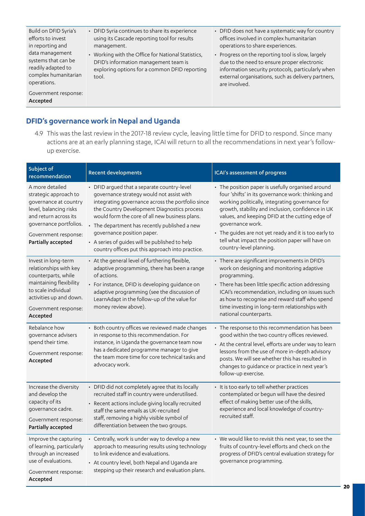Build on DFID Syria's efforts to invest in reporting and data management systems that can be readily adapted to complex humanitarian operations.

Government response: Accepted

- DFID Syria continues to share its experience using its Cascade reporting tool for results management.
- Working with the Office for National Statistics, DFID's information management team is exploring options for a common DFID reporting tool.
- DFID does not have a systematic way for country offices involved in complex humanitarian operations to share experiences.
- Progress on the reporting tool is slow, largely due to the need to ensure proper electronic information security protocols, particularly when external organisations, such as delivery partners, are involved.

## **DFID's governance work in Nepal and Uganda**

4.9 This was the last review in the 2017-18 review cycle, leaving little time for DFID to respond. Since many actions are at an early planning stage, ICAI will return to all the recommendations in next year's followup exercise.

| Subject of<br>recommendation                                                                                                                                                                 | <b>Recent developments</b>                                                                                                                                                                                                                                                                                                                                                                                                          | ICAI's assessment of progress                                                                                                                                                                                                                                                                                                                                                                                                  |
|----------------------------------------------------------------------------------------------------------------------------------------------------------------------------------------------|-------------------------------------------------------------------------------------------------------------------------------------------------------------------------------------------------------------------------------------------------------------------------------------------------------------------------------------------------------------------------------------------------------------------------------------|--------------------------------------------------------------------------------------------------------------------------------------------------------------------------------------------------------------------------------------------------------------------------------------------------------------------------------------------------------------------------------------------------------------------------------|
| A more detailed<br>strategic approach to<br>governance at country<br>level, balancing risks<br>and return across its<br>governance portfolios.<br>Government response:<br>Partially accepted | • DFID argued that a separate country-level<br>governance strategy would not assist with<br>integrating governance across the portfolio since<br>the Country Development Diagnostics process<br>would form the core of all new business plans.<br>• The department has recently published a new<br>governance position paper.<br>• A series of quides will be published to help<br>country offices put this approach into practice. | • The position paper is usefully organised around<br>four 'shifts' in its governance work: thinking and<br>working politically, integrating governance for<br>growth, stability and inclusion, confidence in UK<br>values, and keeping DFID at the cutting edge of<br>governance work.<br>• The guides are not yet ready and it is too early to<br>tell what impact the position paper will have on<br>country-level planning. |
| Invest in long-term<br>relationships with key<br>counterparts, while<br>maintaining flexibility<br>to scale individual<br>activities up and down.<br>Government response:<br>Accepted        | • At the general level of furthering flexible,<br>adaptive programming, there has been a range<br>of actions.<br>• For instance, DFID is developing guidance on<br>adaptive programming (see the discussion of<br>LearnAdapt in the follow-up of the value for<br>money review above).                                                                                                                                              | • There are significant improvements in DFID's<br>work on designing and monitoring adaptive<br>programming.<br>• There has been little specific action addressing<br>ICAI's recommendation, including on issues such<br>as how to recognise and reward staff who spend<br>time investing in long-term relationships with<br>national counterparts.                                                                             |
| Rebalance how<br>governance advisers<br>spend their time.<br>Government response:<br>Accepted                                                                                                | • Both country offices we reviewed made changes<br>in response to this recommendation. For<br>instance, in Uganda the governance team now<br>has a dedicated programme manager to give<br>the team more time for core technical tasks and<br>advocacy work.                                                                                                                                                                         | • The response to this recommendation has been<br>good within the two country offices reviewed.<br>• At the central level, efforts are under way to learn<br>lessons from the use of more in-depth advisory<br>posts. We will see whether this has resulted in<br>changes to guidance or practice in next year's<br>follow-up exercise.                                                                                        |
| Increase the diversity<br>and develop the<br>capacity of its<br>governance cadre.<br>Government response:<br>Partially accepted                                                              | • DFID did not completely agree that its locally<br>recruited staff in country were underutilised.<br>• Recent actions include giving locally recruited<br>staff the same emails as UK-recruited<br>staff, removing a highly visible symbol of<br>differentiation between the two groups.                                                                                                                                           | • It is too early to tell whether practices<br>contemplated or begun will have the desired<br>effect of making better use of the skills,<br>experience and local knowledge of country-<br>recruited staff.                                                                                                                                                                                                                     |
| Improve the capturing<br>of learning, particularly<br>through an increased<br>use of evaluations.<br>Government response:<br>Accepted                                                        | • Centrally, work is under way to develop a new<br>approach to measuring results using technology<br>to link evidence and evaluations.<br>• At country level, both Nepal and Uganda are<br>stepping up their research and evaluation plans.                                                                                                                                                                                         | • We would like to revisit this next year, to see the<br>fruits of country-level efforts and check on the<br>progress of DFID's central evaluation strategy for<br>governance programming.                                                                                                                                                                                                                                     |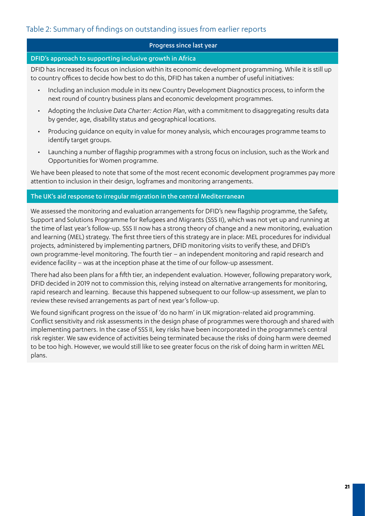## Table 2: Summary of findings on outstanding issues from earlier reports

#### Progress since last year

#### DFID's approach to supporting inclusive growth in Africa

DFID has increased its focus on inclusion within its economic development programming. While it is still up to country offices to decide how best to do this, DFID has taken a number of useful initiatives:

- Including an inclusion module in its new Country Development Diagnostics process, to inform the next round of country business plans and economic development programmes.
- Adopting the *Inclusive Data Charter: Action Plan*, with a commitment to disaggregating results data by gender, age, disability status and geographical locations.
- Producing guidance on equity in value for money analysis, which encourages programme teams to identify target groups.
- Launching a number of flagship programmes with a strong focus on inclusion, such as the Work and Opportunities for Women programme.

We have been pleased to note that some of the most recent economic development programmes pay more attention to inclusion in their design, logframes and monitoring arrangements.

#### The UK's aid response to irregular migration in the central Mediterranean

We assessed the monitoring and evaluation arrangements for DFID's new flagship programme, the Safety, Support and Solutions Programme for Refugees and Migrants (SSS II), which was not yet up and running at the time of last year's follow-up. SSS II now has a strong theory of change and a new monitoring, evaluation and learning (MEL) strategy. The first three tiers of this strategy are in place: MEL procedures for individual projects, administered by implementing partners, DFID monitoring visits to verify these, and DFID's own programme-level monitoring. The fourth tier – an independent monitoring and rapid research and evidence facility – was at the inception phase at the time of our follow-up assessment.

There had also been plans for a fifth tier, an independent evaluation. However, following preparatory work, DFID decided in 2019 not to commission this, relying instead on alternative arrangements for monitoring, rapid research and learning. Because this happened subsequent to our follow-up assessment, we plan to review these revised arrangements as part of next year's follow-up.

We found significant progress on the issue of 'do no harm' in UK migration-related aid programming. Conflict sensitivity and risk assessments in the design phase of programmes were thorough and shared with implementing partners. In the case of SSS II, key risks have been incorporated in the programme's central risk register. We saw evidence of activities being terminated because the risks of doing harm were deemed to be too high. However, we would still like to see greater focus on the risk of doing harm in written MEL plans.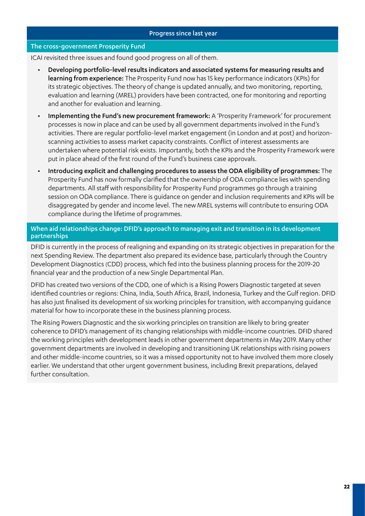#### Progress since last year

#### The cross-government Prosperity Fund

ICAI revisited three issues and found good progress on all of them.

- Developing portfolio-level results indicators and associated systems for measuring results and learning from experience: The Prosperity Fund now has 15 key performance indicators (KPIs) for its strategic objectives. The theory of change is updated annually, and two monitoring, reporting, evaluation and learning (MREL) providers have been contracted, one for monitoring and reporting and another for evaluation and learning.
- Implementing the Fund's new procurement framework: A 'Prosperity Framework' for procurement processes is now in place and can be used by all government departments involved in the Fund's activities. There are regular portfolio-level market engagement (in London and at post) and horizonscanning activities to assess market capacity constraints. Conflict of interest assessments are undertaken where potential risk exists. Importantly, both the KPIs and the Prosperity Framework were put in place ahead of the first round of the Fund's business case approvals.
- Introducing explicit and challenging procedures to assess the ODA eligibility of programmes: The Prosperity Fund has now formally clarified that the ownership of ODA compliance lies with spending departments. All staff with responsibility for Prosperity Fund programmes go through a training session on ODA compliance. There is guidance on gender and inclusion requirements and KPIs will be disaggregated by gender and income level. The new MREL systems will contribute to ensuring ODA compliance during the lifetime of programmes.

#### When aid relationships change: DFID's approach to managing exit and transition in its development partnerships

DFID is currently in the process of realigning and expanding on its strategic objectives in preparation for the next Spending Review. The department also prepared its evidence base, particularly through the Country Development Diagnostics (CDD) process, which fed into the business planning process for the 2019-20 financial year and the production of a new Single Departmental Plan.

DFID has created two versions of the CDD, one of which is a Rising Powers Diagnostic targeted at seven identified countries or regions: China, India, South Africa, Brazil, Indonesia, Turkey and the Gulf region. DFID has also just finalised its development of six working principles for transition, with accompanying guidance material for how to incorporate these in the business planning process.

The Rising Powers Diagnostic and the six working principles on transition are likely to bring greater coherence to DFID's management of its changing relationships with middle-income countries. DFID shared the working principles with development leads in other government departments in May 2019. Many other government departments are involved in developing and transitioning UK relationships with rising powers and other middle-income countries, so it was a missed opportunity not to have involved them more closely earlier. We understand that other urgent government business, including Brexit preparations, delayed further consultation.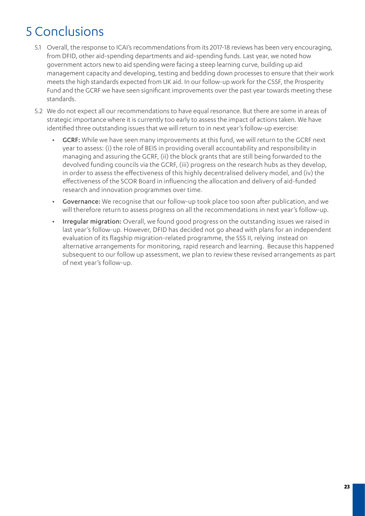## 5 Conclusions

- 5.1 Overall, the response to ICAI's recommendations from its 2017-18 reviews has been very encouraging, from DFID, other aid-spending departments and aid-spending funds. Last year, we noted how government actors new to aid spending were facing a steep learning curve, building up aid management capacity and developing, testing and bedding down processes to ensure that their work meets the high standards expected from UK aid. In our follow-up work for the CSSF, the Prosperity Fund and the GCRF we have seen significant improvements over the past year towards meeting these standards.
- 5.2 We do not expect all our recommendations to have equal resonance. But there are some in areas of strategic importance where it is currently too early to assess the impact of actions taken. We have identified three outstanding issues that we will return to in next year's follow-up exercise:
	- GCRF: While we have seen many improvements at this fund, we will return to the GCRF next year to assess: (i) the role of BEIS in providing overall accountability and responsibility in managing and assuring the GCRF, (ii) the block grants that are still being forwarded to the devolved funding councils via the GCRF, (iii) progress on the research hubs as they develop, in order to assess the effectiveness of this highly decentralised delivery model, and (iv) the effectiveness of the SCOR Board in influencing the allocation and delivery of aid-funded research and innovation programmes over time.
	- Governance: We recognise that our follow-up took place too soon after publication, and we will therefore return to assess progress on all the recommendations in next year's follow-up.
	- Irregular migration: Overall, we found good progress on the outstanding issues we raised in last year's follow-up. However, DFID has decided not go ahead with plans for an independent evaluation of its flagship migration-related programme, the SSS II, relying instead on alternative arrangements for monitoring, rapid research and learning. Because this happened subsequent to our follow up assessment, we plan to review these revised arrangements as part of next year's follow-up.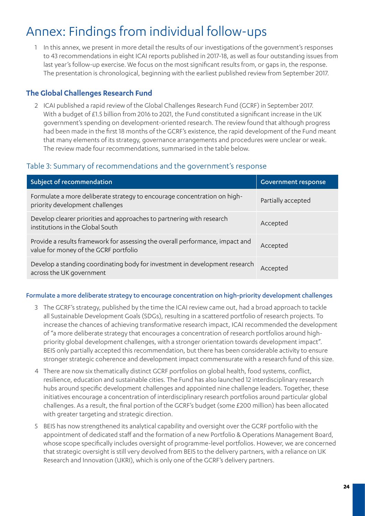## Annex: Findings from individual follow-ups

1 In this annex, we present in more detail the results of our investigations of the government's responses to 43 recommendations in eight ICAI reports published in 2017-18, as well as four outstanding issues from last year's follow-up exercise. We focus on the most significant results from, or gaps in, the response. The presentation is chronological, beginning with the earliest published review from September 2017.

## **The Global Challenges Research Fund**

2 ICAI published a rapid review of the Global Challenges Research Fund (GCRF) in September 2017. With a budget of £1.5 billion from 2016 to 2021, the Fund constituted a significant increase in the UK government's spending on development-oriented research. The review found that although progress had been made in the first 18 months of the GCRF's existence, the rapid development of the Fund meant that many elements of its strategy, governance arrangements and procedures were unclear or weak. The review made four recommendations, summarised in the table below.

## Table 3: Summary of recommendations and the government's response

| Subject of recommendation                                                                                              | <b>Government response</b> |
|------------------------------------------------------------------------------------------------------------------------|----------------------------|
| Formulate a more deliberate strategy to encourage concentration on high-<br>priority development challenges            | Partially accepted         |
| Develop clearer priorities and approaches to partnering with research<br>institutions in the Global South              | Accepted                   |
| Provide a results framework for assessing the overall performance, impact and<br>value for money of the GCRF portfolio | Accepted                   |
| Develop a standing coordinating body for investment in development research<br>across the UK government                | Accepted                   |

#### Formulate a more deliberate strategy to encourage concentration on high-priority development challenges

- 3 The GCRF's strategy, published by the time the ICAI review came out, had a broad approach to tackle all Sustainable Development Goals (SDGs), resulting in a scattered portfolio of research projects. To increase the chances of achieving transformative research impact, ICAI recommended the development of "a more deliberate strategy that encourages a concentration of research portfolios around highpriority global development challenges, with a stronger orientation towards development impact". BEIS only partially accepted this recommendation, but there has been considerable activity to ensure stronger strategic coherence and development impact commensurate with a research fund of this size.
- 4 There are now six thematically distinct GCRF portfolios on global health, food systems, conflict, resilience, education and sustainable cities. The Fund has also launched 12 interdisciplinary research hubs around specific development challenges and appointed nine challenge leaders. Together, these initiatives encourage a concentration of interdisciplinary research portfolios around particular global challenges. As a result, the final portion of the GCRF's budget (some £200 million) has been allocated with greater targeting and strategic direction.
- 5 BEIS has now strengthened its analytical capability and oversight over the GCRF portfolio with the appointment of dedicated staff and the formation of a new Portfolio & Operations Management Board, whose scope specifically includes oversight of programme-level portfolios. However, we are concerned that strategic oversight is still very devolved from BEIS to the delivery partners, with a reliance on UK Research and Innovation (UKRI), which is only one of the GCRF's delivery partners.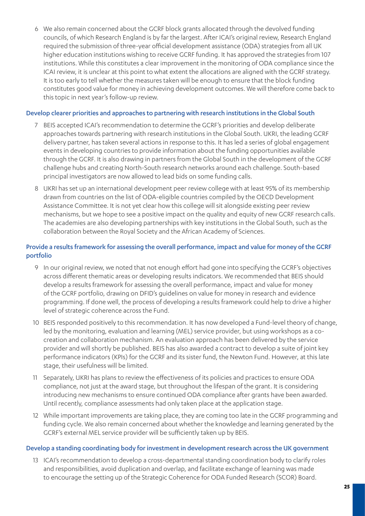6 We also remain concerned about the GCRF block grants allocated through the devolved funding councils, of which Research England is by far the largest. After ICAI's original review, Research England required the submission of three-year official development assistance (ODA) strategies from all UK higher education institutions wishing to receive GCRF funding. It has approved the strategies from 107 institutions. While this constitutes a clear improvement in the monitoring of ODA compliance since the ICAI review, it is unclear at this point to what extent the allocations are aligned with the GCRF strategy. It is too early to tell whether the measures taken will be enough to ensure that the block funding constitutes good value for money in achieving development outcomes. We will therefore come back to this topic in next year's follow-up review.

#### Develop clearer priorities and approaches to partnering with research institutions in the Global South

- 7 BEIS accepted ICAI's recommendation to determine the GCRF's priorities and develop deliberate approaches towards partnering with research institutions in the Global South. UKRI, the leading GCRF delivery partner, has taken several actions in response to this. It has led a series of global engagement events in developing countries to provide information about the funding opportunities available through the GCRF. It is also drawing in partners from the Global South in the development of the GCRF challenge hubs and creating North-South research networks around each challenge. South-based principal investigators are now allowed to lead bids on some funding calls.
- 8 UKRI has set up an international development peer review college with at least 95% of its membership drawn from countries on the list of ODA-eligible countries compiled by the OECD Development Assistance Committee. It is not yet clear how this college will sit alongside existing peer review mechanisms, but we hope to see a positive impact on the quality and equity of new GCRF research calls. The academies are also developing partnerships with key institutions in the Global South, such as the collaboration between the Royal Society and the African Academy of Sciences.

#### Provide a results framework for assessing the overall performance, impact and value for money of the GCRF portfolio

- 9 In our original review, we noted that not enough effort had gone into specifying the GCRF's objectives across different thematic areas or developing results indicators. We recommended that BEIS should develop a results framework for assessing the overall performance, impact and value for money of the GCRF portfolio, drawing on DFID's guidelines on value for money in research and evidence programming. If done well, the process of developing a results framework could help to drive a higher level of strategic coherence across the Fund.
- 10 BEIS responded positively to this recommendation. It has now developed a Fund-level theory of change, led by the monitoring, evaluation and learning (MEL) service provider, but using workshops as a cocreation and collaboration mechanism. An evaluation approach has been delivered by the service provider and will shortly be published. BEIS has also awarded a contract to develop a suite of joint key performance indicators (KPIs) for the GCRF and its sister fund, the Newton Fund. However, at this late stage, their usefulness will be limited.
- 11 Separately, UKRI has plans to review the effectiveness of its policies and practices to ensure ODA compliance, not just at the award stage, but throughout the lifespan of the grant. It is considering introducing new mechanisms to ensure continued ODA compliance after grants have been awarded. Until recently, compliance assessments had only taken place at the application stage.
- 12 While important improvements are taking place, they are coming too late in the GCRF programming and funding cycle. We also remain concerned about whether the knowledge and learning generated by the GCRF's external MEL service provider will be sufficiently taken up by BEIS.

#### Develop a standing coordinating body for investment in development research across the UK government

13 ICAI's recommendation to develop a cross-departmental standing coordination body to clarify roles and responsibilities, avoid duplication and overlap, and facilitate exchange of learning was made to encourage the setting up of the Strategic Coherence for ODA Funded Research (SCOR) Board.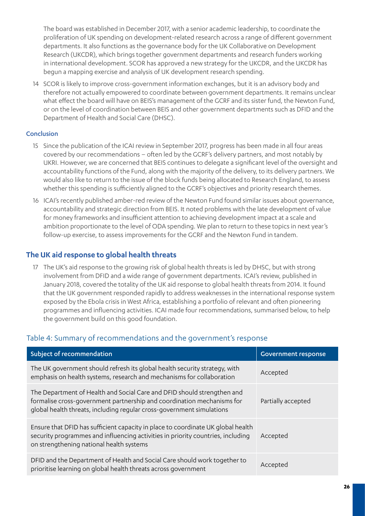The board was established in December 2017, with a senior academic leadership, to coordinate the proliferation of UK spending on development-related research across a range of different government departments. It also functions as the governance body for the UK Collaborative on Development Research (UKCDR), which brings together government departments and research funders working in international development. SCOR has approved a new strategy for the UKCDR, and the UKCDR has begun a mapping exercise and analysis of UK development research spending.

14 SCOR is likely to improve cross-government information exchanges, but it is an advisory body and therefore not actually empowered to coordinate between government departments. It remains unclear what effect the board will have on BEIS's management of the GCRF and its sister fund, the Newton Fund, or on the level of coordination between BEIS and other government departments such as DFID and the Department of Health and Social Care (DHSC).

#### Conclusion

- 15 Since the publication of the ICAI review in September 2017, progress has been made in all four areas covered by our recommendations – often led by the GCRF's delivery partners, and most notably by UKRI. However, we are concerned that BEIS continues to delegate a significant level of the oversight and accountability functions of the Fund, along with the majority of the delivery, to its delivery partners. We would also like to return to the issue of the block funds being allocated to Research England, to assess whether this spending is sufficiently aligned to the GCRF's objectives and priority research themes.
- 16 ICAI's recently published amber-red review of the Newton Fund found similar issues about governance, accountability and strategic direction from BEIS. It noted problems with the late development of value for money frameworks and insufficient attention to achieving development impact at a scale and ambition proportionate to the level of ODA spending. We plan to return to these topics in next year's follow-up exercise, to assess improvements for the GCRF and the Newton Fund in tandem.

## **The UK aid response to global health threats**

17 The UK's aid response to the growing risk of global health threats is led by DHSC, but with strong involvement from DFID and a wide range of government departments. ICAI's review, published in January 2018, covered the totality of the UK aid response to global health threats from 2014. It found that the UK government responded rapidly to address weaknesses in the international response system exposed by the Ebola crisis in West Africa, establishing a portfolio of relevant and often pioneering programmes and influencing activities. ICAI made four recommendations, summarised below, to help the government build on this good foundation.

## Table 4: Summary of recommendations and the government's response

| Subject of recommendation                                                                                                                                                                                                  | <b>Government response</b> |
|----------------------------------------------------------------------------------------------------------------------------------------------------------------------------------------------------------------------------|----------------------------|
| The UK government should refresh its global health security strategy, with<br>emphasis on health systems, research and mechanisms for collaboration                                                                        | Accepted                   |
| The Department of Health and Social Care and DFID should strengthen and<br>formalise cross-government partnership and coordination mechanisms for<br>global health threats, including regular cross-government simulations | Partially accepted         |
| Ensure that DFID has sufficient capacity in place to coordinate UK global health<br>security programmes and influencing activities in priority countries, including<br>on strengthening national health systems            | Accepted                   |
| DFID and the Department of Health and Social Care should work together to<br>prioritise learning on global health threats across government                                                                                | Accepted                   |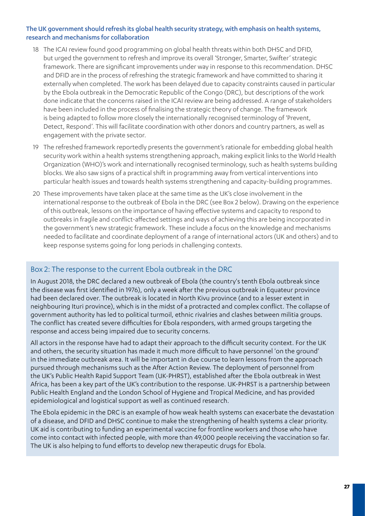#### The UK government should refresh its global health security strategy, with emphasis on health systems, research and mechanisms for collaboration

- 18 The ICAI review found good programming on global health threats within both DHSC and DFID, but urged the government to refresh and improve its overall 'Stronger, Smarter, Swifter' strategic framework. There are significant improvements under way in response to this recommendation. DHSC and DFID are in the process of refreshing the strategic framework and have committed to sharing it externally when completed. The work has been delayed due to capacity constraints caused in particular by the Ebola outbreak in the Democratic Republic of the Congo (DRC), but descriptions of the work done indicate that the concerns raised in the ICAI review are being addressed. A range of stakeholders have been included in the process of finalising the strategic theory of change. The framework is being adapted to follow more closely the internationally recognised terminology of 'Prevent, Detect, Respond'. This will facilitate coordination with other donors and country partners, as well as engagement with the private sector.
- 19 The refreshed framework reportedly presents the government's rationale for embedding global health security work within a health systems strengthening approach, making explicit links to the World Health Organization (WHO)'s work and internationally recognised terminology, such as health systems building blocks. We also saw signs of a practical shift in programming away from vertical interventions into particular health issues and towards health systems strengthening and capacity-building programmes.
- 20 These improvements have taken place at the same time as the UK's close involvement in the international response to the outbreak of Ebola in the DRC (see Box 2 below). Drawing on the experience of this outbreak, lessons on the importance of having effective systems and capacity to respond to outbreaks in fragile and conflict-affected settings and ways of achieving this are being incorporated in the government's new strategic framework. These include a focus on the knowledge and mechanisms needed to facilitate and coordinate deployment of a range of international actors (UK and others) and to keep response systems going for long periods in challenging contexts.

#### Box 2: The response to the current Ebola outbreak in the DRC

In August 2018, the DRC declared a new outbreak of Ebola (the country's tenth Ebola outbreak since the disease was first identified in 1976), only a week after the previous outbreak in Equateur province had been declared over. The outbreak is located in North Kivu province (and to a lesser extent in neighbouring Ituri province), which is in the midst of a protracted and complex conflict. The collapse of government authority has led to political turmoil, ethnic rivalries and clashes between militia groups. The conflict has created severe difficulties for Ebola responders, with armed groups targeting the response and access being impaired due to security concerns.

All actors in the response have had to adapt their approach to the difficult security context. For the UK and others, the security situation has made it much more difficult to have personnel 'on the ground' in the immediate outbreak area. It will be important in due course to learn lessons from the approach pursued through mechanisms such as the After Action Review. The deployment of personnel from the UK's Public Health Rapid Support Team (UK-PHRST), established after the Ebola outbreak in West Africa, has been a key part of the UK's contribution to the response. UK-PHRST is a partnership between Public Health England and the London School of Hygiene and Tropical Medicine, and has provided epidemiological and logistical support as well as continued research.

The Ebola epidemic in the DRC is an example of how weak health systems can exacerbate the devastation of a disease, and DFID and DHSC continue to make the strengthening of health systems a clear priority. UK aid is contributing to funding an experimental vaccine for frontline workers and those who have come into contact with infected people, with more than 49,000 people receiving the vaccination so far. The UK is also helping to fund efforts to develop new therapeutic drugs for Ebola.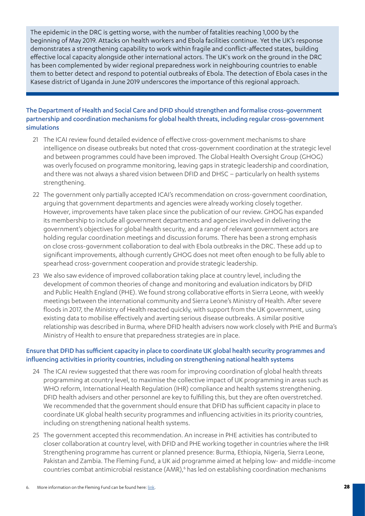The epidemic in the DRC is getting worse, with the number of fatalities reaching 1,000 by the beginning of May 2019. Attacks on health workers and Ebola facilities continue. Yet the UK's response demonstrates a strengthening capability to work within fragile and conflict-affected states, building effective local capacity alongside other international actors. The UK's work on the ground in the DRC has been complemented by wider regional preparedness work in neighbouring countries to enable them to better detect and respond to potential outbreaks of Ebola. The detection of Ebola cases in the Kasese district of Uganda in June 2019 underscores the importance of this regional approach.

#### The Department of Health and Social Care and DFID should strengthen and formalise cross-government partnership and coordination mechanisms for global health threats, including regular cross-government simulations

- 21 The ICAI review found detailed evidence of effective cross-government mechanisms to share intelligence on disease outbreaks but noted that cross-government coordination at the strategic level and between programmes could have been improved. The Global Health Oversight Group (GHOG) was overly focused on programme monitoring, leaving gaps in strategic leadership and coordination, and there was not always a shared vision between DFID and DHSC – particularly on health systems strengthening.
- 22 The government only partially accepted ICAI's recommendation on cross-government coordination, arguing that government departments and agencies were already working closely together. However, improvements have taken place since the publication of our review. GHOG has expanded its membership to include all government departments and agencies involved in delivering the government's objectives for global health security, and a range of relevant government actors are holding regular coordination meetings and discussion forums. There has been a strong emphasis on close cross-government collaboration to deal with Ebola outbreaks in the DRC. These add up to significant improvements, although currently GHOG does not meet often enough to be fully able to spearhead cross-government cooperation and provide strategic leadership.
- 23 We also saw evidence of improved collaboration taking place at country level, including the development of common theories of change and monitoring and evaluation indicators by DFID and Public Health England (PHE). We found strong collaborative efforts in Sierra Leone, with weekly meetings between the international community and Sierra Leone's Ministry of Health. After severe floods in 2017, the Ministry of Health reacted quickly, with support from the UK government, using existing data to mobilise effectively and averting serious disease outbreaks. A similar positive relationship was described in Burma, where DFID health advisers now work closely with PHE and Burma's Ministry of Health to ensure that preparedness strategies are in place.

#### Ensure that DFID has sufficient capacity in place to coordinate UK global health security programmes and influencing activities in priority countries, including on strengthening national health systems

- 24 The ICAI review suggested that there was room for improving coordination of global health threats programming at country level, to maximise the collective impact of UK programming in areas such as WHO reform, International Health Regulation (IHR) compliance and health systems strengthening. DFID health advisers and other personnel are key to fulfilling this, but they are often overstretched. We recommended that the government should ensure that DFID has sufficient capacity in place to coordinate UK global health security programmes and influencing activities in its priority countries, including on strengthening national health systems.
- 25 The government accepted this recommendation. An increase in PHE activities has contributed to closer collaboration at country level, with DFID and PHE working together in countries where the IHR Strengthening programme has current or planned presence: Burma, Ethiopia, Nigeria, Sierra Leone, Pakistan and Zambia. The Fleming Fund, a UK aid programme aimed at helping low- and middle-income countries combat antimicrobial resistance (AMR),<sup>6</sup> has led on establishing coordination mechanisms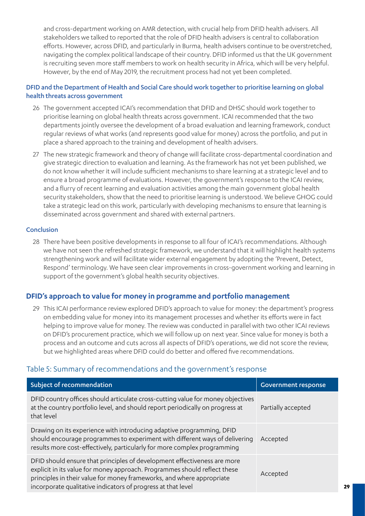and cross-department working on AMR detection, with crucial help from DFID health advisers. All stakeholders we talked to reported that the role of DFID health advisers is central to collaboration efforts. However, across DFID, and particularly in Burma, health advisers continue to be overstretched, navigating the complex political landscape of their country. DFID informed us that the UK government is recruiting seven more staff members to work on health security in Africa, which will be very helpful. However, by the end of May 2019, the recruitment process had not yet been completed.

#### DFID and the Department of Health and Social Care should work together to prioritise learning on global health threats across government

- 26 The government accepted ICAI's recommendation that DFID and DHSC should work together to prioritise learning on global health threats across government. ICAI recommended that the two departments jointly oversee the development of a broad evaluation and learning framework, conduct regular reviews of what works (and represents good value for money) across the portfolio, and put in place a shared approach to the training and development of health advisers.
- 27 The new strategic framework and theory of change will facilitate cross-departmental coordination and give strategic direction to evaluation and learning. As the framework has not yet been published, we do not know whether it will include sufficient mechanisms to share learning at a strategic level and to ensure a broad programme of evaluations. However, the government's response to the ICAI review, and a flurry of recent learning and evaluation activities among the main government global health security stakeholders, show that the need to prioritise learning is understood. We believe GHOG could take a strategic lead on this work, particularly with developing mechanisms to ensure that learning is disseminated across government and shared with external partners.

#### Conclusion

28 There have been positive developments in response to all four of ICAI's recommendations. Although we have not seen the refreshed strategic framework, we understand that it will highlight health systems strengthening work and will facilitate wider external engagement by adopting the 'Prevent, Detect, Respond' terminology. We have seen clear improvements in cross-government working and learning in support of the government's global health security objectives.

## **DFID's approach to value for money in programme and portfolio management**

29 This ICAI performance review explored DFID's approach to value for money: the department's progress on embedding value for money into its management processes and whether its efforts were in fact helping to improve value for money. The review was conducted in parallel with two other ICAI reviews on DFID's procurement practice, which we will follow up on next year. Since value for money is both a process and an outcome and cuts across all aspects of DFID's operations, we did not score the review, but we highlighted areas where DFID could do better and offered five recommendations.

## Table 5: Summary of recommendations and the government's response

| Subject of recommendation                                                                                                                                                                                                                                                                      | <b>Government response</b> |
|------------------------------------------------------------------------------------------------------------------------------------------------------------------------------------------------------------------------------------------------------------------------------------------------|----------------------------|
| DFID country offices should articulate cross-cutting value for money objectives<br>at the country portfolio level, and should report periodically on progress at<br>that level                                                                                                                 | Partially accepted         |
| Drawing on its experience with introducing adaptive programming, DFID<br>should encourage programmes to experiment with different ways of delivering<br>results more cost-effectively, particularly for more complex programming                                                               | Accepted                   |
| DFID should ensure that principles of development effectiveness are more<br>explicit in its value for money approach. Programmes should reflect these<br>principles in their value for money frameworks, and where appropriate<br>incorporate qualitative indicators of progress at that level | Accepted                   |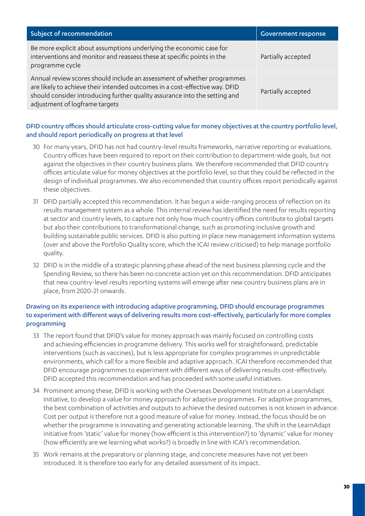| Subject of recommendation                                                                                                                                                                                                                                              | <b>Government response</b> |
|------------------------------------------------------------------------------------------------------------------------------------------------------------------------------------------------------------------------------------------------------------------------|----------------------------|
| Be more explicit about assumptions underlying the economic case for<br>interventions and monitor and reassess these at specific points in the<br>programme cycle                                                                                                       | Partially accepted         |
| Annual review scores should include an assessment of whether programmes<br>are likely to achieve their intended outcomes in a cost-effective way. DFID<br>should consider introducing further quality assurance into the setting and<br>adjustment of logframe targets | Partially accepted         |

#### DFID country offices should articulate cross-cutting value for money objectives at the country portfolio level, and should report periodically on progress at that level

- 30 For many years, DFID has not had country-level results frameworks, narrative reporting or evaluations. Country offices have been required to report on their contribution to department-wide goals, but not against the objectives in their country business plans. We therefore recommended that DFID country offices articulate value for money objectives at the portfolio level, so that they could be reflected in the design of individual programmes. We also recommended that country offices report periodically against these objectives.
- 31 DFID partially accepted this recommendation. It has begun a wide-ranging process of reflection on its results management system as a whole. This internal review has identified the need for results reporting at sector and country levels, to capture not only how much country offices contribute to global targets but also their contributions to transformational change, such as promoting inclusive growth and building sustainable public services. DFID is also putting in place new management information systems (over and above the Portfolio Quality score, which the ICAI review criticised) to help manage portfolio quality.
- 32 DFID is in the middle of a strategic planning phase ahead of the next business planning cycle and the Spending Review, so there has been no concrete action yet on this recommendation. DFID anticipates that new country-level results reporting systems will emerge after new country business plans are in place, from 2020-21 onwards.

#### Drawing on its experience with introducing adaptive programming, DFID should encourage programmes to experiment with different ways of delivering results more cost-effectively, particularly for more complex programming

- 33 The report found that DFID's value for money approach was mainly focused on controlling costs and achieving efficiencies in programme delivery. This works well for straightforward, predictable interventions (such as vaccines), but is less appropriate for complex programmes in unpredictable environments, which call for a more flexible and adaptive approach. ICAI therefore recommended that DFID encourage programmes to experiment with different ways of delivering results cost-effectively. DFID accepted this recommendation and has proceeded with some useful initiatives.
- 34 Prominent among these, DFID is working with the Overseas Development Institute on a LearnAdapt initiative, to develop a value for money approach for adaptive programmes. For adaptive programmes, the best combination of activities and outputs to achieve the desired outcomes is not known in advance. Cost per output is therefore not a good measure of value for money. Instead, the focus should be on whether the programme is innovating and generating actionable learning. The shift in the LearnAdapt initiative from 'static' value for money (how efficient is this intervention?) to 'dynamic' value for money (how efficiently are we learning what works?) is broadly in line with ICAI's recommendation.
- 35 Work remains at the preparatory or planning stage, and concrete measures have not yet been introduced. It is therefore too early for any detailed assessment of its impact.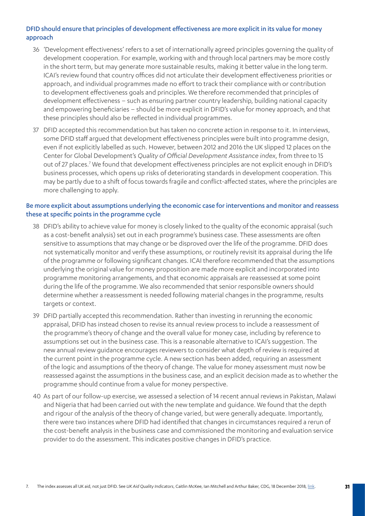#### DFID should ensure that principles of development effectiveness are more explicit in its value for money approach

- 36 'Development effectiveness' refers to a set of internationally agreed principles governing the quality of development cooperation. For example, working with and through local partners may be more costly in the short term, but may generate more sustainable results, making it better value in the long term. ICAI's review found that country offices did not articulate their development effectiveness priorities or approach, and individual programmes made no effort to track their compliance with or contribution to development effectiveness goals and principles. We therefore recommended that principles of development effectiveness – such as ensuring partner country leadership, building national capacity and empowering beneficiaries – should be more explicit in DFID's value for money approach, and that these principles should also be reflected in individual programmes.
- 37 DFID accepted this recommendation but has taken no concrete action in response to it. In interviews, some DFID staff argued that development effectiveness principles were built into programme design, even if not explicitly labelled as such. However, between 2012 and 2016 the UK slipped 12 places on the Center for Global Development's *Quality of Official Development Assistance index*, from three to 15 out of 27 places.<sup>7</sup> We found that development effectiveness principles are not explicit enough in DFID's business processes, which opens up risks of deteriorating standards in development cooperation. This may be partly due to a shift of focus towards fragile and conflict-affected states, where the principles are more challenging to apply.

#### Be more explicit about assumptions underlying the economic case for interventions and monitor and reassess these at specific points in the programme cycle

- 38 DFID's ability to achieve value for money is closely linked to the quality of the economic appraisal (such as a cost-benefit analysis) set out in each programme's business case. These assessments are often sensitive to assumptions that may change or be disproved over the life of the programme. DFID does not systematically monitor and verify these assumptions, or routinely revisit its appraisal during the life of the programme or following significant changes. ICAI therefore recommended that the assumptions underlying the original value for money proposition are made more explicit and incorporated into programme monitoring arrangements, and that economic appraisals are reassessed at some point during the life of the programme. We also recommended that senior responsible owners should determine whether a reassessment is needed following material changes in the programme, results targets or context.
- 39 DFID partially accepted this recommendation. Rather than investing in rerunning the economic appraisal, DFID has instead chosen to revise its annual review process to include a reassessment of the programme's theory of change and the overall value for money case, including by reference to assumptions set out in the business case. This is a reasonable alternative to ICAI's suggestion. The new annual review guidance encourages reviewers to consider what depth of review is required at the current point in the programme cycle. A new section has been added, requiring an assessment of the logic and assumptions of the theory of change. The value for money assessment must now be reassessed against the assumptions in the business case, and an explicit decision made as to whether the programme should continue from a value for money perspective.
- 40 As part of our follow-up exercise, we assessed a selection of 14 recent annual reviews in Pakistan, Malawi and Nigeria that had been carried out with the new template and guidance. We found that the depth and rigour of the analysis of the theory of change varied, but were generally adequate. Importantly, there were two instances where DFID had identified that changes in circumstances required a rerun of the cost-benefit analysis in the business case and commissioned the monitoring and evaluation service provider to do the assessment. This indicates positive changes in DFID's practice.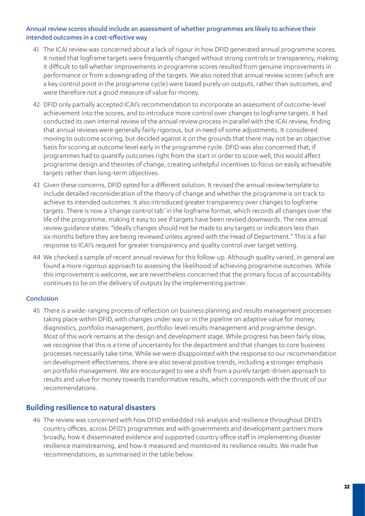#### Annual review scores should include an assessment of whether programmes are likely to achieve their intended outcomes in a cost-effective way

- 41 The ICAI review was concerned about a lack of rigour in how DFID generated annual programme scores. It noted that logframe targets were frequently changed without strong controls or transparency, making it difficult to tell whether improvements in programme scores resulted from genuine improvements in performance or from a downgrading of the targets. We also noted that annual review scores (which are a key control point in the programme cycle) were based purely on outputs, rather than outcomes, and were therefore not a good measure of value for money.
- 42 DFID only partially accepted ICAI's recommendation to incorporate an assessment of outcome-level achievement into the scores, and to introduce more control over changes to logframe targets. It had conducted its own internal review of the annual review process in parallel with the ICAI review, finding that annual reviews were generally fairly rigorous, but in need of some adjustments. It considered moving to outcome scoring, but decided against it on the grounds that there may not be an objective basis for scoring at outcome level early in the programme cycle. DFID was also concerned that, if programmes had to quantify outcomes right from the start in order to score well, this would affect programme design and theories of change, creating unhelpful incentives to focus on easily achievable targets rather than long-term objectives.
- 43 Given these concerns, DFID opted for a different solution. It revised the annual review template to include detailed reconsideration of the theory of change and whether the programme is on track to achieve its intended outcomes. It also introduced greater transparency over changes to logframe targets. There is now a 'change control tab' in the logframe format, which records all changes over the life of the programme, making it easy to see if targets have been revised downwards. The new annual review guidance states: "Ideally changes should not be made to any targets or indicators less than six months before they are being reviewed unless agreed with the Head of Department." This is a fair response to ICAI's request for greater transparency and quality control over target setting.
- 44 We checked a sample of recent annual reviews for this follow-up. Although quality varied, in general we found a more rigorous approach to assessing the likelihood of achieving programme outcomes. While this improvement is welcome, we are nevertheless concerned that the primary focus of accountability continues to be on the delivery of outputs by the implementing partner.

#### Conclusion

45 There is a wide-ranging process of reflection on business planning and results management processes taking place within DFID, with changes under way or in the pipeline on adaptive value for money, diagnostics, portfolio management, portfolio-level results management and programme design. Most of this work remains at the design and development stage. While progress has been fairly slow, we recognise that this is a time of uncertainty for the department and that changes to core business processes necessarily take time. While we were disappointed with the response to our recommendation on development effectiveness, there are also several positive trends, including a stronger emphasis on portfolio management. We are encouraged to see a shift from a purely target-driven approach to results and value for money towards transformative results, which corresponds with the thrust of our recommendations.

#### **Building resilience to natural disasters**

46 The review was concerned with how DFID embedded risk analysis and resilience throughout DFID's country offices, across DFID's programmes and with governments and development partners more broadly, how it disseminated evidence and supported country office staff in implementing disaster resilience mainstreaming, and how it measured and monitored its resilience results. We made five recommendations, as summarised in the table below.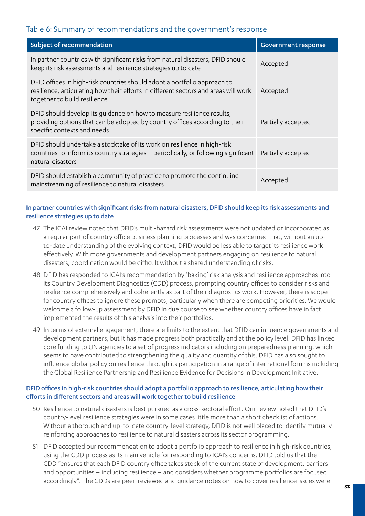## Table 6: Summary of recommendations and the government's response

| Subject of recommendation                                                                                                                                                                       | <b>Government response</b> |
|-------------------------------------------------------------------------------------------------------------------------------------------------------------------------------------------------|----------------------------|
| In partner countries with significant risks from natural disasters, DFID should<br>keep its risk assessments and resilience strategies up to date                                               | Accepted                   |
| DFID offices in high-risk countries should adopt a portfolio approach to<br>resilience, articulating how their efforts in different sectors and areas will work<br>together to build resilience | Accepted                   |
| DFID should develop its quidance on how to measure resilience results,<br>providing options that can be adopted by country offices according to their<br>specific contexts and needs            | Partially accepted         |
| DFID should undertake a stocktake of its work on resilience in high-risk<br>countries to inform its country strategies - periodically, or following significant<br>natural disasters            | Partially accepted         |
| DFID should establish a community of practice to promote the continuing<br>mainstreaming of resilience to natural disasters                                                                     | Accepted                   |

#### In partner countries with significant risks from natural disasters, DFID should keep its risk assessments and resilience strategies up to date

- 47 The ICAI review noted that DFID's multi-hazard risk assessments were not updated or incorporated as a regular part of country office business planning processes and was concerned that, without an upto-date understanding of the evolving context, DFID would be less able to target its resilience work effectively. With more governments and development partners engaging on resilience to natural disasters, coordination would be difficult without a shared understanding of risks.
- 48 DFID has responded to ICAI's recommendation by 'baking' risk analysis and resilience approaches into its Country Development Diagnostics (CDD) process, prompting country offices to consider risks and resilience comprehensively and coherently as part of their diagnostics work. However, there is scope for country offices to ignore these prompts, particularly when there are competing priorities. We would welcome a follow-up assessment by DFID in due course to see whether country offices have in fact implemented the results of this analysis into their portfolios.
- 49 In terms of external engagement, there are limits to the extent that DFID can influence governments and development partners, but it has made progress both practically and at the policy level. DFID has linked core funding to UN agencies to a set of progress indicators including on preparedness planning, which seems to have contributed to strengthening the quality and quantity of this. DFID has also sought to influence global policy on resilience through its participation in a range of international forums including the Global Resilience Partnership and Resilience Evidence for Decisions in Development Initiative.

#### DFID offices in high-risk countries should adopt a portfolio approach to resilience, articulating how their efforts in different sectors and areas will work together to build resilience

- 50 Resilience to natural disasters is best pursued as a cross-sectoral effort. Our review noted that DFID's country-level resilience strategies were in some cases little more than a short checklist of actions. Without a thorough and up-to-date country-level strategy, DFID is not well placed to identify mutually reinforcing approaches to resilience to natural disasters across its sector programming.
- 51 DFID accepted our recommendation to adopt a portfolio approach to resilience in high-risk countries, using the CDD process as its main vehicle for responding to ICAI's concerns. DFID told us that the CDD "ensures that each DFID country office takes stock of the current state of development, barriers and opportunities – including resilience – and considers whether programme portfolios are focused accordingly". The CDDs are peer-reviewed and guidance notes on how to cover resilience issues were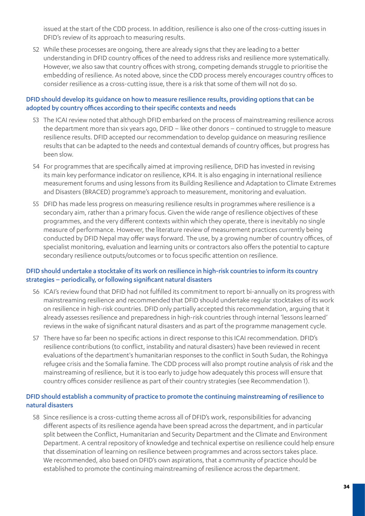issued at the start of the CDD process. In addition, resilience is also one of the cross-cutting issues in DFID's review of its approach to measuring results.

52 While these processes are ongoing, there are already signs that they are leading to a better understanding in DFID country offices of the need to address risks and resilience more systematically. However, we also saw that country offices with strong, competing demands struggle to prioritise the embedding of resilience. As noted above, since the CDD process merely *encourages* country offices to consider resilience as a cross-cutting issue, there is a risk that some of them will not do so.

#### DFID should develop its guidance on how to measure resilience results, providing options that can be adopted by country offices according to their specific contexts and needs

- 53 The ICAI review noted that although DFID embarked on the process of mainstreaming resilience across the department more than six years ago, DFID – like other donors – continued to struggle to measure resilience results. DFID accepted our recommendation to develop guidance on measuring resilience results that can be adapted to the needs and contextual demands of country offices, but progress has been slow.
- 54 For programmes that are specifically aimed at improving resilience, DFID has invested in revising its main key performance indicator on resilience, KPI4. It is also engaging in international resilience measurement forums and using lessons from its Building Resilience and Adaptation to Climate Extremes and Disasters (BRACED) programme's approach to measurement, monitoring and evaluation.
- 55 DFID has made less progress on measuring resilience results in programmes where resilience is a secondary aim, rather than a primary focus. Given the wide range of resilience objectives of these programmes, and the very different contexts within which they operate, there is inevitably no single measure of performance. However, the literature review of measurement practices currently being conducted by DFID Nepal may offer ways forward. The use, by a growing number of country offices, of specialist monitoring, evaluation and learning units or contractors also offers the potential to capture secondary resilience outputs/outcomes or to focus specific attention on resilience.

#### DFID should undertake a stocktake of its work on resilience in high-risk countries to inform its country strategies – periodically, or following significant natural disasters

- 56 ICAI's review found that DFID had not fulfilled its commitment to report bi-annually on its progress with mainstreaming resilience and recommended that DFID should undertake regular stocktakes of its work on resilience in high-risk countries. DFID only partially accepted this recommendation, arguing that it already assesses resilience and preparedness in high-risk countries through internal 'lessons learned' reviews in the wake of significant natural disasters and as part of the programme management cycle.
- 57 There have so far been no specific actions in direct response to this ICAI recommendation. DFID's resilience contributions (to conflict, instability and natural disasters) have been reviewed in recent evaluations of the department's humanitarian responses to the conflict in South Sudan, the Rohingya refugee crisis and the Somalia famine. The CDD process will also prompt routine analysis of risk and the mainstreaming of resilience, but it is too early to judge how adequately this process will ensure that country offices consider resilience as part of their country strategies (see Recommendation 1).

#### DFID should establish a community of practice to promote the continuing mainstreaming of resilience to natural disasters

58 Since resilience is a cross-cutting theme across all of DFID's work, responsibilities for advancing different aspects of its resilience agenda have been spread across the department, and in particular split between the Conflict, Humanitarian and Security Department and the Climate and Environment Department. A central repository of knowledge and technical expertise on resilience could help ensure that dissemination of learning on resilience between programmes and across sectors takes place. We recommended, also based on DFID's own aspirations, that a community of practice should be established to promote the continuing mainstreaming of resilience across the department.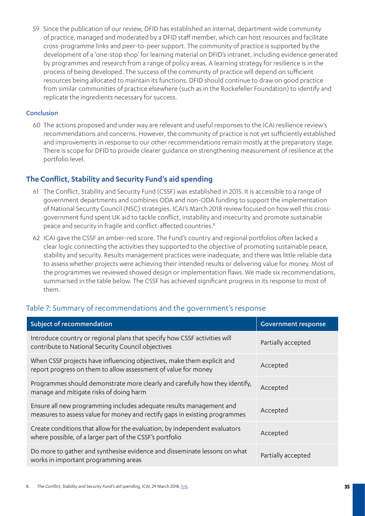59 Since the publication of our review, DFID has established an internal, department-wide community of practice, managed and moderated by a DFID staff member, which can host resources and facilitate cross-programme links and peer-to-peer support. The community of practice is supported by the development of a 'one-stop shop' for learning material on DFID's intranet, including evidence generated by programmes and research from a range of policy areas. A learning strategy for resilience is in the process of being developed. The success of the community of practice will depend on sufficient resources being allocated to maintain its functions. DFID should continue to draw on good practice from similar communities of practice elsewhere (such as in the Rockefeller Foundation) to identify and replicate the ingredients necessary for success.

#### Conclusion

60 The actions proposed and under way are relevant and useful responses to the ICAI resilience review's recommendations and concerns. However, the community of practice is not yet sufficiently established and improvements in response to our other recommendations remain mostly at the preparatory stage. There is scope for DFID to provide clearer guidance on strengthening measurement of resilience at the portfolio level.

#### **The Conflict, Stability and Security Fund's aid spending**

- 61 The Conflict, Stability and Security Fund (CSSF) was established in 2015. It is accessible to a range of government departments and combines ODA and non-ODA funding to support the implementation of National Security Council (NSC) strategies. ICAI's March 2018 review focused on how well this crossgovernment fund spent UK aid to tackle conflict, instability and insecurity and promote sustainable peace and security in fragile and conflict-affected countries.<sup>8</sup>
- 62 ICAI gave the CSSF an amber-red score. The Fund's country and regional portfolios often lacked a clear logic connecting the activities they supported to the objective of promoting sustainable peace, stability and security. Results management practices were inadequate, and there was little reliable data to assess whether projects were achieving their intended results or delivering value for money. Most of the programmes we reviewed showed design or implementation flaws. We made six recommendations, summarised in the table below. The CSSF has achieved significant progress in its response to most of them.

| Subject of recommendation                                                                                                                         | <b>Government response</b> |
|---------------------------------------------------------------------------------------------------------------------------------------------------|----------------------------|
| Introduce country or regional plans that specify how CSSF activities will<br>contribute to National Security Council objectives                   | Partially accepted         |
| When CSSF projects have influencing objectives, make them explicit and<br>report progress on them to allow assessment of value for money          | Accepted                   |
| Programmes should demonstrate more clearly and carefully how they identify,<br>manage and mitigate risks of doing harm                            | Accepted                   |
| Ensure all new programming includes adequate results management and<br>measures to assess value for money and rectify gaps in existing programmes | Accepted                   |
| Create conditions that allow for the evaluation, by independent evaluators<br>where possible, of a larger part of the CSSF's portfolio            | Accepted                   |
| Do more to gather and synthesise evidence and disseminate lessons on what<br>works in important programming areas                                 | Partially accepted         |

## Table 7: Summary of recommendations and the government's response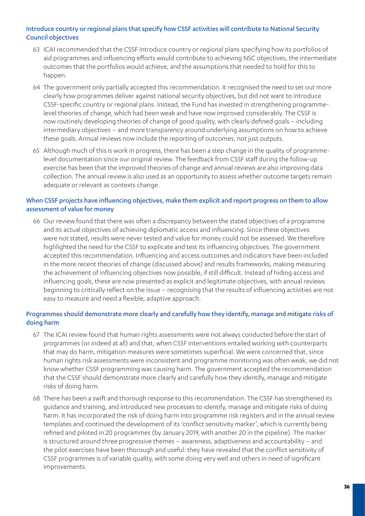#### Introduce country or regional plans that specify how CSSF activities will contribute to National Security Council objectives

- 63 ICAI recommended that the CSSF introduce country or regional plans specifying how its portfolios of aid programmes and influencing efforts would contribute to achieving NSC objectives, the intermediate outcomes that the portfolios would achieve, and the assumptions that needed to hold for this to happen.
- 64 The government only partially accepted this recommendation. It recognised the need to set out more clearly how programmes deliver against national security objectives, but did not want to introduce CSSF-specific country or regional plans. Instead, the Fund has invested in strengthening programmelevel theories of change, which had been weak and have now improved considerably. The CSSF is now routinely developing theories of change of good quality, with clearly defined goals – including intermediary objectives – and more transparency around underlying assumptions on how to achieve these goals. Annual reviews now include the reporting of outcomes, not just outputs.
- 65 Although much of this is work in progress, there has been a step change in the quality of programmelevel documentation since our original review. The feedback from CSSF staff during the follow-up exercise has been that the improved theories of change and annual reviews are also improving data collection. The annual review is also used as an opportunity to assess whether outcome targets remain adequate or relevant as contexts change.

#### When CSSF projects have influencing objectives, make them explicit and report progress on them to allow assessment of value for money

66 Our review found that there was often a discrepancy between the stated objectives of a programme and its actual objectives of achieving diplomatic access and influencing. Since these objectives were not stated, results were never tested and value for money could not be assessed. We therefore highlighted the need for the CSSF to explicate and test its influencing objectives. The government accepted this recommendation. Influencing and access outcomes and indicators have been included in the more recent theories of change (discussed above) and results frameworks, making measuring the achievement of influencing objectives now possible, if still difficult. Instead of hiding access and influencing goals, these are now presented as explicit and legitimate objectives, with annual reviews beginning to critically reflect on the issue – recognising that the results of influencing activities are not easy to measure and need a flexible, adaptive approach.

#### Programmes should demonstrate more clearly and carefully how they identify, manage and mitigate risks of doing harm

- 67 The ICAI review found that human rights assessments were not always conducted before the start of programmes (or indeed at all) and that, when CSSF interventions entailed working with counterparts that may do harm, mitigation measures were sometimes superficial. We were concerned that, since human rights risk assessments were inconsistent and programme monitoring was often weak, we did not know whether CSSF programming was causing harm. The government accepted the recommendation that the CSSF should demonstrate more clearly and carefully how they identify, manage and mitigate risks of doing harm.
- 68 There has been a swift and thorough response to this recommendation. The CSSF has strengthened its guidance and training, and introduced new processes to identify, manage and mitigate risks of doing harm. It has incorporated the risk of doing harm into programme risk registers and in the annual review templates and continued the development of its 'conflict sensitivity marker', which is currently being refined and piloted in 20 programmes (by January 2019, with another 20 in the pipeline). The marker is structured around three progressive themes – awareness, adaptiveness and accountability – and the pilot exercises have been thorough and useful: they have revealed that the conflict sensitivity of CSSF programmes is of variable quality, with some doing very well and others in need of significant improvements.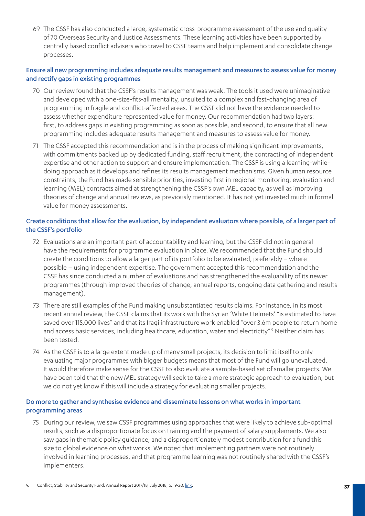69 The CSSF has also conducted a large, systematic cross-programme assessment of the use and quality of 70 Overseas Security and Justice Assessments. These learning activities have been supported by centrally based conflict advisers who travel to CSSF teams and help implement and consolidate change processes.

#### Ensure all new programming includes adequate results management and measures to assess value for money and rectify gaps in existing programmes

- 70 Our review found that the CSSF's results management was weak. The tools it used were unimaginative and developed with a one-size-fits-all mentality, unsuited to a complex and fast-changing area of programming in fragile and conflict-affected areas. The CSSF did not have the evidence needed to assess whether expenditure represented value for money. Our recommendation had two layers: first, to address gaps in existing programming as soon as possible, and second, to ensure that all new programming includes adequate results management and measures to assess value for money.
- 71 The CSSF accepted this recommendation and is in the process of making significant improvements, with commitments backed up by dedicated funding, staff recruitment, the contracting of independent expertise and other action to support and ensure implementation. The CSSF is using a learning-whiledoing approach as it develops and refines its results management mechanisms. Given human resource constraints, the Fund has made sensible priorities, investing first in regional monitoring, evaluation and learning (MEL) contracts aimed at strengthening the CSSF's own MEL capacity, as well as improving theories of change and annual reviews, as previously mentioned. It has not yet invested much in formal value for money assessments.

#### Create conditions that allow for the evaluation, by independent evaluators where possible, of a larger part of the CSSF's portfolio

- 72 Evaluations are an important part of accountability and learning, but the CSSF did not in general have the requirements for programme evaluation in place. We recommended that the Fund should create the conditions to allow a larger part of its portfolio to be evaluated, preferably – where possible – using independent expertise. The government accepted this recommendation and the CSSF has since conducted a number of evaluations and has strengthened the evaluability of its newer programmes (through improved theories of change, annual reports, ongoing data gathering and results management).
- 73 There are still examples of the Fund making unsubstantiated results claims. For instance, in its most recent annual review, the CSSF claims that its work with the Syrian 'White Helmets' "is estimated to have saved over 115,000 lives" and that its Iraqi infrastructure work enabled "over 3.6m people to return home and access basic services, including healthcare, education, water and electricity".<sup>9</sup> Neither claim has been tested.
- 74 As the CSSF is to a large extent made up of many small projects, its decision to limit itself to only evaluating major programmes with bigger budgets means that most of the Fund will go unevaluated. It would therefore make sense for the CSSF to also evaluate a sample-based set of smaller projects. We have been told that the new MEL strategy will seek to take a more strategic approach to evaluation, but we do not yet know if this will include a strategy for evaluating smaller projects.

#### Do more to gather and synthesise evidence and disseminate lessons on what works in important programming areas

75 During our review, we saw CSSF programmes using approaches that were likely to achieve sub-optimal results, such as a disproportionate focus on training and the payment of salary supplements. We also saw gaps in thematic policy guidance, and a disproportionately modest contribution for a fund this size to global evidence on what works. We noted that implementing partners were not routinely involved in learning processes, and that programme learning was not routinely shared with the CSSF's implementers.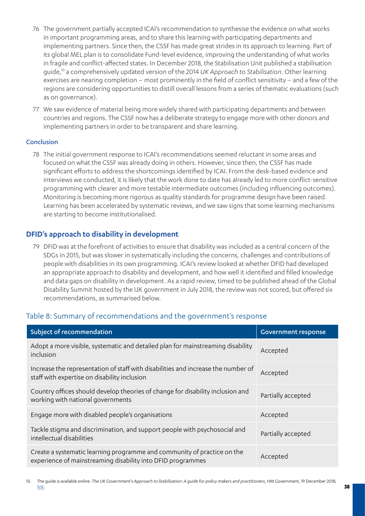- 76 The government partially accepted ICAI's recommendation to synthesise the evidence on what works in important programming areas, and to share this learning with participating departments and implementing partners. Since then, the CSSF has made great strides in its approach to learning. Part of its global MEL plan is to consolidate Fund-level evidence, improving the understanding of what works in fragile and conflict-affected states. In December 2018, the Stabilisation Unit published a stabilisation guide,10 a comprehensively updated version of the 2014 *UK Approach to Stabilisation*. Other learning exercises are nearing completion – most prominently in the field of conflict sensitivity – and a few of the regions are considering opportunities to distill overall lessons from a series of thematic evaluations (such as on governance).
- 77 We saw evidence of material being more widely shared with participating departments and between countries and regions. The CSSF now has a deliberate strategy to engage more with other donors and implementing partners in order to be transparent and share learning.

#### Conclusion

78 The initial government response to ICAI's recommendations seemed reluctant in some areas and focused on what the CSSF was already doing in others. However, since then, the CSSF has made significant efforts to address the shortcomings identified by ICAI. From the desk-based evidence and interviews we conducted, it is likely that the work done to date has already led to more conflict-sensitive programming with clearer and more testable intermediate outcomes (including influencing outcomes). Monitoring is becoming more rigorous as quality standards for programme design have been raised. Learning has been accelerated by systematic reviews, and we saw signs that some learning mechanisms are starting to become institutionalised.

#### **DFID's approach to disability in development**

79 DFID was at the forefront of activities to ensure that disability was included as a central concern of the SDGs in 2015, but was slower in systematically including the concerns, challenges and contributions of people with disabilities in its own programming. ICAI's review looked at whether DFID had developed an appropriate approach to disability and development, and how well it identified and filled knowledge and data gaps on disability in development. As a rapid review, timed to be published ahead of the Global Disability Summit hosted by the UK government in July 2018, the review was not scored, but offered six recommendations, as summarised below.

| Subject of recommendation                                                                                                              | <b>Government response</b> |
|----------------------------------------------------------------------------------------------------------------------------------------|----------------------------|
| Adopt a more visible, systematic and detailed plan for mainstreaming disability<br>inclusion                                           | Accepted                   |
| Increase the representation of staff with disabilities and increase the number of<br>staff with expertise on disability inclusion      | Accepted                   |
| Country offices should develop theories of change for disability inclusion and<br>working with national governments                    | Partially accepted         |
| Engage more with disabled people's organisations                                                                                       | Accepted                   |
| Tackle stigma and discrimination, and support people with psychosocial and<br>intellectual disabilities                                | Partially accepted         |
| Create a systematic learning programme and community of practice on the<br>experience of mainstreaming disability into DFID programmes | Accepted                   |

## Table 8: Summary of recommendations and the government's response

<sup>10.</sup> The guide is available online. *The UK Government's Approach to Stabilisation: A guide for policy makers and practitioners*, HM Government, 19 December 2018, [link.](https://www.gov.uk/government/publications/the-uk-governments-approach-to-stabilisation-a-guide-for-policy-makers-and-practitioners)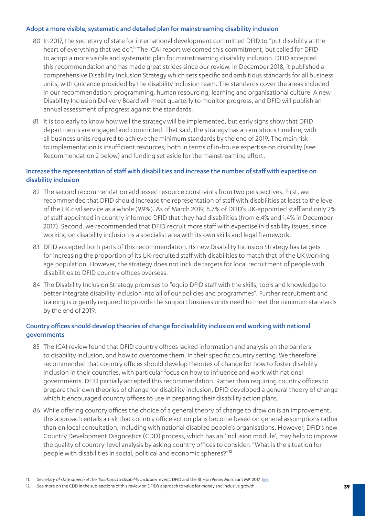#### Adopt a more visible, systematic and detailed plan for mainstreaming disability inclusion

- 80 In 2017, the secretary of state for international development committed DFID to "put disability at the heart of everything that we do".<sup>11</sup> The ICAI report welcomed this commitment, but called for DFID to adopt a more visible and systematic plan for mainstreaming disability inclusion. DFID accepted this recommendation and has made great strides since our review. In December 2018, it published a comprehensive Disability Inclusion Strategy which sets specific and ambitious standards for all business units, with guidance provided by the disability inclusion team. The standards cover the areas included in our recommendation: programming, human resourcing, learning and organisational culture. A new Disability Inclusion Delivery Board will meet quarterly to monitor progress, and DFID will publish an annual assessment of progress against the standards.
- 81 It is too early to know how well the strategy will be implemented, but early signs show that DFID departments are engaged and committed. That said, the strategy has an ambitious timeline, with all business units required to achieve the minimum standards by the end of 2019. The main risk to implementation is insufficient resources, both in terms of in-house expertise on disability (see Recommendation 2 below) and funding set aside for the mainstreaming effort.

#### Increase the representation of staff with disabilities and increase the number of staff with expertise on disability inclusion

- 82 The second recommendation addressed resource constraints from two perspectives. First, we recommended that DFID should increase the representation of staff with disabilities at least to the level of the UK civil service as a whole (9.9%). As of March 2019, 8.7% of DFID's UK-appointed staff and only 2% of staff appointed in country informed DFID that they had disabilities (from 6.4% and 1.4% in December 2017). Second, we recommended that DFID recruit more staff with expertise in disability issues, since working on disability inclusion is a specialist area with its own skills and legal framework.
- 83 DFID accepted both parts of this recommendation. Its new Disability Inclusion Strategy has targets for increasing the proportion of its UK-recruited staff with disabilities to match that of the UK working age population. However, the strategy does not include targets for local recruitment of people with disabilities to DFID country offices overseas.
- 84 The Disability Inclusion Strategy promises to "equip DFID staff with the skills, tools and knowledge to better integrate disability inclusion into all of our policies and programmes". Further recruitment and training is urgently required to provide the support business units need to meet the minimum standards by the end of 2019.

#### Country offices should develop theories of change for disability inclusion and working with national governments

- 85 The ICAI review found that DFID country offices lacked information and analysis on the barriers to disability inclusion, and how to overcome them, in their specific country setting. We therefore recommended that country offices should develop theories of change for how to foster disability inclusion in their countries, with particular focus on how to influence and work with national governments. DFID partially accepted this recommendation. Rather than requiring country offices to prepare their own theories of change for disability inclusion, DFID developed a general theory of change which it encouraged country offices to use in preparing their disability action plans.
- 86 While offering country offices the choice of a general theory of change to draw on is an improvement, this approach entails a risk that country office action plans become based on general assumptions rather than on local consultation, including with national disabled people's organisations. However, DFID's new Country Development Diagnostics (CDD) process, which has an 'inclusion module', may help to improve the quality of country-level analysis by asking country offices to consider: "What is the situation for people with disabilities in social, political and economic spheres?"12

12. See more on the CDD in the sub-sections of this review on DFID's approach to value for money and inclusive growth.

<sup>11.</sup> *Secretary of state speech at the 'Solutions to Disability Inclusion' event*, DFID and the Rt Hon Penny Mordaunt MP, 2017, [link](https://www.gov.uk/government/speeches/secretary-of-state-speech-at-the-solutions-to-disability-inclusion-event).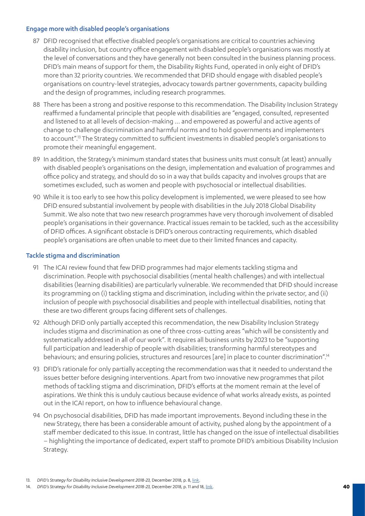#### Engage more with disabled people's organisations

- 87 DFID recognised that effective disabled people's organisations are critical to countries achieving disability inclusion, but country office engagement with disabled people's organisations was mostly at the level of conversations and they have generally not been consulted in the business planning process. DFID's main means of support for them, the Disability Rights Fund, operated in only eight of DFID's more than 32 priority countries. We recommended that DFID should engage with disabled people's organisations on country-level strategies, advocacy towards partner governments, capacity building and the design of programmes, including research programmes.
- 88 There has been a strong and positive response to this recommendation. The Disability Inclusion Strategy reaffirmed a fundamental principle that people with disabilities are "engaged, consulted, represented and listened to at all levels of decision-making ... and empowered as powerful and active agents of change to challenge discrimination and harmful norms and to hold governments and implementers to account".13 The Strategy committed to sufficient investments in disabled people's organisations to promote their meaningful engagement.
- 89 In addition, the Strategy's minimum standard states that business units must consult (at least) annually with disabled people's organisations on the design, implementation and evaluation of programmes and office policy and strategy, and should do so in a way that builds capacity and involves groups that are sometimes excluded, such as women and people with psychosocial or intellectual disabilities.
- 90 While it is too early to see how this policy development is implemented, we were pleased to see how DFID ensured substantial involvement by people with disabilities in the July 2018 Global Disability Summit. We also note that two new research programmes have very thorough involvement of disabled people's organisations in their governance. Practical issues remain to be tackled, such as the accessibility of DFID offices. A significant obstacle is DFID's onerous contracting requirements, which disabled people's organisations are often unable to meet due to their limited finances and capacity.

#### Tackle stigma and discrimination

- 91 The ICAI review found that few DFID programmes had major elements tackling stigma and discrimination. People with psychosocial disabilities (mental health challenges) and with intellectual disabilities (learning disabilities) are particularly vulnerable. We recommended that DFID should increase its programming on (i) tackling stigma and discrimination, including within the private sector, and (ii) inclusion of people with psychosocial disabilities and people with intellectual disabilities, noting that these are two different groups facing different sets of challenges.
- 92 Although DFID only partially accepted this recommendation, the new Disability Inclusion Strategy includes stigma and discrimination as one of three cross-cutting areas "which will be consistently and systematically addressed in all of our work". It requires all business units by 2023 to be "supporting full participation and leadership of people with disabilities; transforming harmful stereotypes and behaviours; and ensuring policies, structures and resources [are] in place to counter discrimination".<sup>14</sup>
- 93 DFID's rationale for only partially accepting the recommendation was that it needed to understand the issues better before designing interventions. Apart from two innovative new programmes that pilot methods of tackling stigma and discrimination, DFID's efforts at the moment remain at the level of aspirations. We think this is unduly cautious because evidence of what works already exists, as pointed out in the ICAI report, on how to influence behavioural change.
- 94 On psychosocial disabilities, DFID has made important improvements. Beyond including these in the new Strategy, there has been a considerable amount of activity, pushed along by the appointment of a staff member dedicated to this issue. In contrast, little has changed on the issue of intellectual disabilities – highlighting the importance of dedicated, expert staff to promote DFID's ambitious Disability Inclusion Strategy.

<sup>13.</sup> *DFID's Strategy for Disability Inclusive Development 2018-23,* December 2018, p. 8, [link.](https://assets.publishing.service.gov.uk/government/uploads/system/uploads/attachment_data/file/760997/Disability-Inclusion-Strategy.pdf)

<sup>14.</sup> *DFID's Strategy for Disability Inclusive Development 2018-23, December 2018, p. 11 and 18, [link.](https://assets.publishing.service.gov.uk/government/uploads/system/uploads/attachment_data/file/760997/Disability-Inclusion-Strategy.pdf)*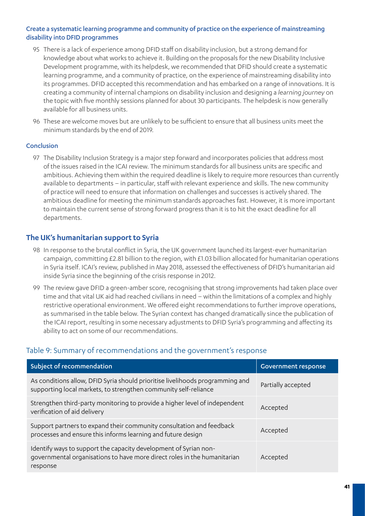#### Create a systematic learning programme and community of practice on the experience of mainstreaming disability into DFID programmes

- 95 There is a lack of experience among DFID staff on disability inclusion, but a strong demand for knowledge about what works to achieve it. Building on the proposals for the new Disability Inclusive Development programme, with its helpdesk, we recommended that DFID should create a systematic learning programme, and a community of practice, on the experience of mainstreaming disability into its programmes. DFID accepted this recommendation and has embarked on a range of innovations. It is creating a community of internal champions on disability inclusion and designing a *learning journey* on the topic with five monthly sessions planned for about 30 participants. The helpdesk is now generally available for all business units.
- 96 These are welcome moves but are unlikely to be sufficient to ensure that all business units meet the minimum standards by the end of 2019.

#### Conclusion

97 The Disability Inclusion Strategy is a major step forward and incorporates policies that address most of the issues raised in the ICAI review. The minimum standards for all business units are specific and ambitious. Achieving them within the required deadline is likely to require more resources than currently available to departments – in particular, staff with relevant experience and skills. The new community of practice will need to ensure that information on challenges and successes is actively shared. The ambitious deadline for meeting the minimum standards approaches fast. However, it is more important to maintain the current sense of strong forward progress than it is to hit the exact deadline for all departments.

#### **The UK's humanitarian support to Syria**

- 98 In response to the brutal conflict in Syria, the UK government launched its largest-ever humanitarian campaign, committing £2.81 billion to the region, with £1.03 billion allocated for humanitarian operations in Syria itself. ICAI's review, published in May 2018, assessed the effectiveness of DFID's humanitarian aid inside Syria since the beginning of the crisis response in 2012.
- 99 The review gave DFID a green-amber score, recognising that strong improvements had taken place over time and that vital UK aid had reached civilians in need – within the limitations of a complex and highly restrictive operational environment. We offered eight recommendations to further improve operations, as summarised in the table below. The Syrian context has changed dramatically since the publication of the ICAI report, resulting in some necessary adjustments to DFID Syria's programming and affecting its ability to act on some of our recommendations.

#### Table 9: Summary of recommendations and the government's response

| Subject of recommendation                                                                                                                                | <b>Government response</b> |
|----------------------------------------------------------------------------------------------------------------------------------------------------------|----------------------------|
| As conditions allow, DFID Syria should prioritise livelihoods programming and<br>supporting local markets, to strengthen community self-reliance         | Partially accepted         |
| Strengthen third-party monitoring to provide a higher level of independent<br>verification of aid delivery                                               | Accepted                   |
| Support partners to expand their community consultation and feedback<br>processes and ensure this informs learning and future design                     | Accepted                   |
| Identify ways to support the capacity development of Syrian non-<br>governmental organisations to have more direct roles in the humanitarian<br>response | Accepted                   |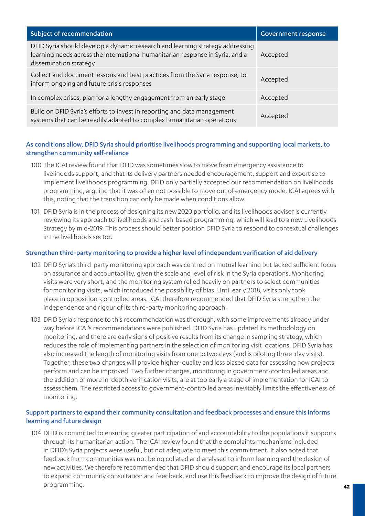| Subject of recommendation                                                                                                                                                                | <b>Government response</b> |
|------------------------------------------------------------------------------------------------------------------------------------------------------------------------------------------|----------------------------|
| DFID Syria should develop a dynamic research and learning strategy addressing<br>learning needs across the international humanitarian response in Syria, and a<br>dissemination strategy | Accepted                   |
| Collect and document lessons and best practices from the Syria response, to<br>inform ongoing and future crisis responses                                                                | Accepted                   |
| In complex crises, plan for a lengthy engagement from an early stage                                                                                                                     | Accepted                   |
| Build on DFID Syria's efforts to invest in reporting and data management<br>systems that can be readily adapted to complex humanitarian operations                                       | Accepted                   |

#### As conditions allow, DFID Syria should prioritise livelihoods programming and supporting local markets, to strengthen community self-reliance

- 100 The ICAI review found that DFID was sometimes slow to move from emergency assistance to livelihoods support, and that its delivery partners needed encouragement, support and expertise to implement livelihoods programming. DFID only partially accepted our recommendation on livelihoods programming, arguing that it was often not possible to move out of emergency mode. ICAI agrees with this, noting that the transition can only be made when conditions allow.
- 101 DFID Syria is in the process of designing its new 2020 portfolio, and its livelihoods adviser is currently reviewing its approach to livelihoods and cash-based programming, which will lead to a new Livelihoods Strategy by mid-2019. This process should better position DFID Syria to respond to contextual challenges in the livelihoods sector.

#### Strengthen third-party monitoring to provide a higher level of independent verification of aid delivery

- 102 DFID Syria's third-party monitoring approach was centred on mutual learning but lacked sufficient focus on assurance and accountability, given the scale and level of risk in the Syria operations. Monitoring visits were very short, and the monitoring system relied heavily on partners to select communities for monitoring visits, which introduced the possibility of bias. Until early 2018, visits only took place in opposition-controlled areas. ICAI therefore recommended that DFID Syria strengthen the independence and rigour of its third-party monitoring approach.
- 103 DFID Syria's response to this recommendation was thorough, with some improvements already under way before ICAI's recommendations were published. DFID Syria has updated its methodology on monitoring, and there are early signs of positive results from its change in sampling strategy, which reduces the role of implementing partners in the selection of monitoring visit locations. DFID Syria has also increased the length of monitoring visits from one to two days (and is piloting three-day visits). Together, these two changes will provide higher-quality and less biased data for assessing how projects perform and can be improved. Two further changes, monitoring in government-controlled areas and the addition of more in-depth verification visits, are at too early a stage of implementation for ICAI to assess them. The restricted access to government-controlled areas inevitably limits the effectiveness of monitoring.

#### Support partners to expand their community consultation and feedback processes and ensure this informs learning and future design

104 DFID is committed to ensuring greater participation of and accountability to the populations it supports through its humanitarian action. The ICAI review found that the complaints mechanisms included in DFID's Syria projects were useful, but not adequate to meet this commitment. It also noted that feedback from communities was not being collated and analysed to inform learning and the design of new activities. We therefore recommended that DFID should support and encourage its local partners to expand community consultation and feedback, and use this feedback to improve the design of future programming.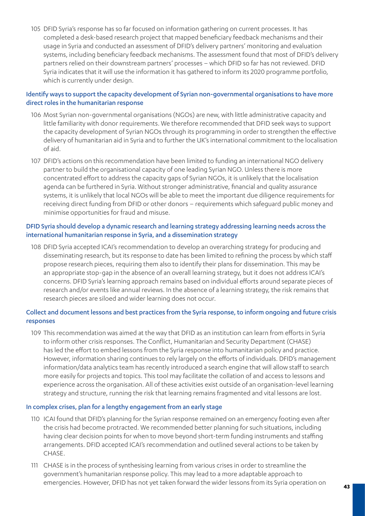105 DFID Syria's response has so far focused on information gathering on current processes. It has completed a desk-based research project that mapped beneficiary feedback mechanisms and their usage in Syria and conducted an assessment of DFID's delivery partners' monitoring and evaluation systems, including beneficiary feedback mechanisms. The assessment found that most of DFID's delivery partners relied on their downstream partners' processes – which DFID so far has not reviewed. DFID Syria indicates that it will use the information it has gathered to inform its 2020 programme portfolio, which is currently under design.

#### Identify ways to support the capacity development of Syrian non-governmental organisations to have more direct roles in the humanitarian response

- 106 Most Syrian non-governmental organisations (NGOs) are new, with little administrative capacity and little familiarity with donor requirements. We therefore recommended that DFID seek ways to support the capacity development of Syrian NGOs through its programming in order to strengthen the effective delivery of humanitarian aid in Syria and to further the UK's international commitment to the localisation of aid.
- 107 DFID's actions on this recommendation have been limited to funding an international NGO delivery partner to build the organisational capacity of one leading Syrian NGO. Unless there is more concentrated effort to address the capacity gaps of Syrian NGOs, it is unlikely that the localisation agenda can be furthered in Syria. Without stronger administrative, financial and quality assurance systems, it is unlikely that local NGOs will be able to meet the important due diligence requirements for receiving direct funding from DFID or other donors – requirements which safeguard public money and minimise opportunities for fraud and misuse.

#### DFID Syria should develop a dynamic research and learning strategy addressing learning needs across the international humanitarian response in Syria, and a dissemination strategy

108 DFID Syria accepted ICAI's recommendation to develop an overarching strategy for producing and disseminating research, but its response to date has been limited to refining the process by which staff propose research pieces, requiring them also to identify their plans for dissemination. This may be an appropriate stop-gap in the absence of an overall learning strategy, but it does not address ICAI's concerns. DFID Syria's learning approach remains based on individual efforts around separate pieces of research and/or events like annual reviews. In the absence of a learning strategy, the risk remains that research pieces are siloed and wider learning does not occur.

#### Collect and document lessons and best practices from the Syria response, to inform ongoing and future crisis responses

109 This recommendation was aimed at the way that DFID as an institution can learn from efforts in Syria to inform other crisis responses. The Conflict, Humanitarian and Security Department (CHASE) has led the effort to embed lessons from the Syria response into humanitarian policy and practice. However, information sharing continues to rely largely on the efforts of individuals. DFID's management information/data analytics team has recently introduced a search engine that will allow staff to search more easily for projects and topics. This tool may facilitate the collation of and access to lessons and experience across the organisation. All of these activities exist outside of an organisation-level learning strategy and structure, running the risk that learning remains fragmented and vital lessons are lost.

#### In complex crises, plan for a lengthy engagement from an early stage

- 110 ICAI found that DFID's planning for the Syrian response remained on an emergency footing even after the crisis had become protracted. We recommended better planning for such situations, including having clear decision points for when to move beyond short-term funding instruments and staffing arrangements. DFID accepted ICAI's recommendation and outlined several actions to be taken by CHASE.
- 111 CHASE is in the process of synthesising learning from various crises in order to streamline the government's humanitarian response policy. This may lead to a more adaptable approach to emergencies. However, DFID has not yet taken forward the wider lessons from its Syria operation on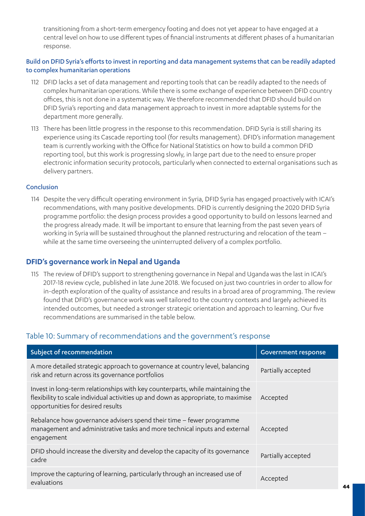transitioning from a short-term emergency footing and does not yet appear to have engaged at a central level on how to use different types of financial instruments at different phases of a humanitarian response.

#### Build on DFID Syria's efforts to invest in reporting and data management systems that can be readily adapted to complex humanitarian operations

- 112 DFID lacks a set of data management and reporting tools that can be readily adapted to the needs of complex humanitarian operations. While there is some exchange of experience between DFID country offices, this is not done in a systematic way. We therefore recommended that DFID should build on DFID Syria's reporting and data management approach to invest in more adaptable systems for the department more generally.
- 113 There has been little progress in the response to this recommendation. DFID Syria is still sharing its experience using its Cascade reporting tool (for results management). DFID's information management team is currently working with the Office for National Statistics on how to build a common DFID reporting tool, but this work is progressing slowly, in large part due to the need to ensure proper electronic information security protocols, particularly when connected to external organisations such as delivery partners.

#### Conclusion

114 Despite the very difficult operating environment in Syria, DFID Syria has engaged proactively with ICAI's recommendations, with many positive developments. DFID is currently designing the 2020 DFID Syria programme portfolio: the design process provides a good opportunity to build on lessons learned and the progress already made. It will be important to ensure that learning from the past seven years of working in Syria will be sustained throughout the planned restructuring and relocation of the team – while at the same time overseeing the uninterrupted delivery of a complex portfolio.

#### **DFID's governance work in Nepal and Uganda**

115 The review of DFID's support to strengthening governance in Nepal and Uganda was the last in ICAI's 2017-18 review cycle, published in late June 2018. We focused on just two countries in order to allow for in-depth exploration of the quality of assistance and results in a broad area of programming. The review found that DFID's governance work was well tailored to the country contexts and largely achieved its intended outcomes, but needed a stronger strategic orientation and approach to learning. Our five recommendations are summarised in the table below.

## Table 10: Summary of recommendations and the government's response

| Subject of recommendation                                                                                                                                                                                 | <b>Government response</b> |
|-----------------------------------------------------------------------------------------------------------------------------------------------------------------------------------------------------------|----------------------------|
| A more detailed strategic approach to governance at country level, balancing<br>risk and return across its governance portfolios                                                                          | Partially accepted         |
| Invest in long-term relationships with key counterparts, while maintaining the<br>flexibility to scale individual activities up and down as appropriate, to maximise<br>opportunities for desired results | Accepted                   |
| Rebalance how governance advisers spend their time $-$ fewer programme<br>management and administrative tasks and more technical inputs and external<br>engagement                                        | Accepted                   |
| DFID should increase the diversity and develop the capacity of its governance<br>cadre                                                                                                                    | Partially accepted         |
| Improve the capturing of learning, particularly through an increased use of<br>evaluations                                                                                                                | Accepted                   |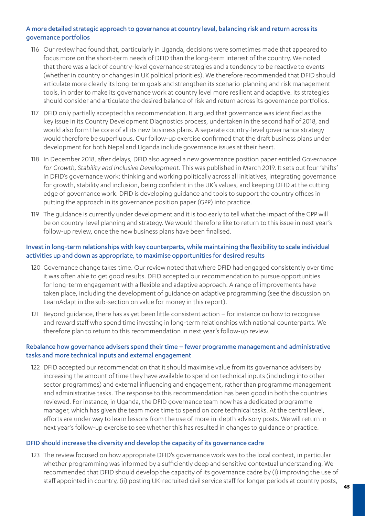#### A more detailed strategic approach to governance at country level, balancing risk and return across its governance portfolios

- 116 Our review had found that, particularly in Uganda, decisions were sometimes made that appeared to focus more on the short-term needs of DFID than the long-term interest of the country. We noted that there was a lack of country-level governance strategies and a tendency to be reactive to events (whether in country or changes in UK political priorities). We therefore recommended that DFID should articulate more clearly its long-term goals and strengthen its scenario-planning and risk management tools, in order to make its governance work at country level more resilient and adaptive. Its strategies should consider and articulate the desired balance of risk and return across its governance portfolios.
- 117 DFID only partially accepted this recommendation. It argued that governance was identified as the key issue in its Country Development Diagnostics process, undertaken in the second half of 2018, and would also form the core of all its new business plans. A separate country-level governance strategy would therefore be superfluous. Our follow-up exercise confirmed that the draft business plans under development for both Nepal and Uganda include governance issues at their heart.
- 118 In December 2018, after delays, DFID also agreed a new governance position paper entitled *Governance for Growth, Stability and Inclusive Development*. This was published in March 2019. It sets out four 'shifts' in DFID's governance work: thinking and working politically across all initiatives, integrating governance for growth, stability and inclusion, being confident in the UK's values, and keeping DFID at the cutting edge of governance work. DFID is developing guidance and tools to support the country offices in putting the approach in its governance position paper (GPP) into practice.
- 119 The guidance is currently under development and it is too early to tell what the impact of the GPP will be on country-level planning and strategy. We would therefore like to return to this issue in next year's follow-up review, once the new business plans have been finalised.

#### Invest in long-term relationships with key counterparts, while maintaining the flexibility to scale individual activities up and down as appropriate, to maximise opportunities for desired results

- 120 Governance change takes time. Our review noted that where DFID had engaged consistently over time it was often able to get good results. DFID accepted our recommendation to pursue opportunities for long-term engagement with a flexible and adaptive approach. A range of improvements have taken place, including the development of guidance on adaptive programming (see the discussion on LearnAdapt in the sub-section on value for money in this report).
- 121 Beyond guidance, there has as yet been little consistent action for instance on how to recognise and reward staff who spend time investing in long-term relationships with national counterparts. We therefore plan to return to this recommendation in next year's follow-up review.

#### Rebalance how governance advisers spend their time – fewer programme management and administrative tasks and more technical inputs and external engagement

122 DFID accepted our recommendation that it should maximise value from its governance advisers by increasing the amount of time they have available to spend on technical inputs (including into other sector programmes) and external influencing and engagement, rather than programme management and administrative tasks. The response to this recommendation has been good in both the countries reviewed. For instance, in Uganda, the DFID governance team now has a dedicated programme manager, which has given the team more time to spend on core technical tasks. At the central level, efforts are under way to learn lessons from the use of more in-depth advisory posts. We will return in next year's follow-up exercise to see whether this has resulted in changes to guidance or practice.

#### DFID should increase the diversity and develop the capacity of its governance cadre

123 The review focused on how appropriate DFID's governance work was to the local context, in particular whether programming was informed by a sufficiently deep and sensitive contextual understanding. We recommended that DFID should develop the capacity of its governance cadre by (i) improving the use of staff appointed in country, (ii) posting UK-recruited civil service staff for longer periods at country posts,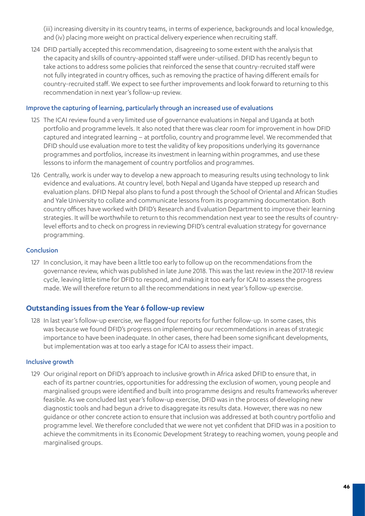(iii) increasing diversity in its country teams, in terms of experience, backgrounds and local knowledge, and (iv) placing more weight on practical delivery experience when recruiting staff.

124 DFID partially accepted this recommendation, disagreeing to some extent with the analysis that the capacity and skills of country-appointed staff were under-utilised. DFID has recently begun to take actions to address some policies that reinforced the sense that country-recruited staff were not fully integrated in country offices, such as removing the practice of having different emails for country-recruited staff. We expect to see further improvements and look forward to returning to this recommendation in next year's follow-up review.

#### Improve the capturing of learning, particularly through an increased use of evaluations

- 125 The ICAI review found a very limited use of governance evaluations in Nepal and Uganda at both portfolio and programme levels. It also noted that there was clear room for improvement in how DFID captured and integrated learning – at portfolio, country and programme level. We recommended that DFID should use evaluation more to test the validity of key propositions underlying its governance programmes and portfolios, increase its investment in learning within programmes, and use these lessons to inform the management of country portfolios and programmes.
- 126 Centrally, work is under way to develop a new approach to measuring results using technology to link evidence and evaluations. At country level, both Nepal and Uganda have stepped up research and evaluation plans. DFID Nepal also plans to fund a post through the School of Oriental and African Studies and Yale University to collate and communicate lessons from its programming documentation. Both country offices have worked with DFID's Research and Evaluation Department to improve their learning strategies. It will be worthwhile to return to this recommendation next year to see the results of countrylevel efforts and to check on progress in reviewing DFID's central evaluation strategy for governance programming.

#### Conclusion

127 In conclusion, it may have been a little too early to follow up on the recommendations from the governance review, which was published in late June 2018. This was the last review in the 2017-18 review cycle, leaving little time for DFID to respond, and making it too early for ICAI to assess the progress made. We will therefore return to all the recommendations in next year's follow-up exercise.

#### **Outstanding issues from the Year 6 follow-up review**

128 In last year's follow-up exercise, we flagged four reports for further follow-up. In some cases, this was because we found DFID's progress on implementing our recommendations in areas of strategic importance to have been inadequate. In other cases, there had been some significant developments, but implementation was at too early a stage for ICAI to assess their impact.

#### Inclusive growth

129 Our original report on DFID's approach to inclusive growth in Africa asked DFID to ensure that, in each of its partner countries, opportunities for addressing the exclusion of women, young people and marginalised groups were identified and built into programme designs and results frameworks wherever feasible. As we concluded last year's follow-up exercise, DFID was in the process of developing new diagnostic tools and had begun a drive to disaggregate its results data. However, there was no new guidance or other concrete action to ensure that inclusion was addressed at both country portfolio and programme level. We therefore concluded that we were not yet confident that DFID was in a position to achieve the commitments in its Economic Development Strategy to reaching women, young people and marginalised groups.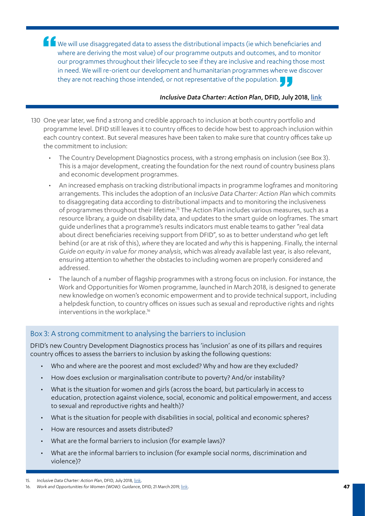K We will use disaggregated data to assess the distributional impacts (ie which beneficiaries and where are deriving the most value) of our programme outputs and outcomes, and to monitor our programmes throughout their lifecycle to see if they are inclusive and reaching those most in need. We will re-orient our development and humanitarian programmes where we discover they are not reaching those intended, or not representative of the population.

#### *Inclusive Data Charter: Action Plan*, DFID, July 2018, [link](https://assets.publishing.service.gov.uk/government/uploads/system/uploads/attachment_data/file/727739/IDCAP.pdf)

- 130 One year later, we find a strong and credible approach to inclusion at both country portfolio and programme level. DFID still leaves it to country offices to decide how best to approach inclusion within each country context. But several measures have been taken to make sure that country offices take up the commitment to inclusion:
	- The Country Development Diagnostics process, with a strong emphasis on inclusion (see Box 3). This is a major development, creating the foundation for the next round of country business plans and economic development programmes.
	- An increased emphasis on tracking distributional impacts in programme logframes and monitoring arrangements. This includes the adoption of an *Inclusive Data Charter: Action Plan* which commits to disaggregating data according to distributional impacts and to monitoring the inclusiveness of programmes throughout their lifetime.<sup>15</sup> The Action Plan includes various measures, such as a resource library, a guide on disability data, and updates to the smart guide on logframes. The smart guide underlines that a programme's results indicators must enable teams to gather "real data about direct beneficiaries receiving support from DFID", so as to better understand *who* get left behind (or are at risk of this), *where* they are located and *why* this is happening. Finally, the internal *Guide on equity in value for money analysis*, which was already available last year, is also relevant, ensuring attention to whether the obstacles to including women are properly considered and addressed.
	- The launch of a number of flagship programmes with a strong focus on inclusion. For instance, the Work and Opportunities for Women programme, launched in March 2018, is designed to generate new knowledge on women's economic empowerment and to provide technical support, including a helpdesk function, to country offices on issues such as sexual and reproductive rights and rights interventions in the workplace.<sup>16</sup>

## Box 3: A strong commitment to analysing the barriers to inclusion

DFID's new Country Development Diagnostics process has 'inclusion' as one of its pillars and requires country offices to assess the barriers to inclusion by asking the following questions:

- Who and where are the poorest and most excluded? Why and how are they excluded?
- How does exclusion or marginalisation contribute to poverty? And/or instability?
- What is the situation for women and girls (across the board, but particularly in access to education, protection against violence, social, economic and political empowerment, and access to sexual and reproductive rights and health)?
- What is the situation for people with disabilities in social, political and economic spheres?
- How are resources and assets distributed?
- What are the formal barriers to inclusion (for example laws)?
- What are the informal barriers to inclusion (for example social norms, discrimination and violence)?

<sup>15.</sup> *Inclusive Data Charter: Action Plan*, DFID, July 2018, [link.](https://assets.publishing.service.gov.uk/government/uploads/system/uploads/attachment_data/file/727739/IDCAP.pdf)

<sup>16.</sup> *Work and Opportunities for Women (WOW): Guidance*, DFID, 21 March 2019, [link](https://www.gov.uk/guidance/work-and-opportunities-for-women).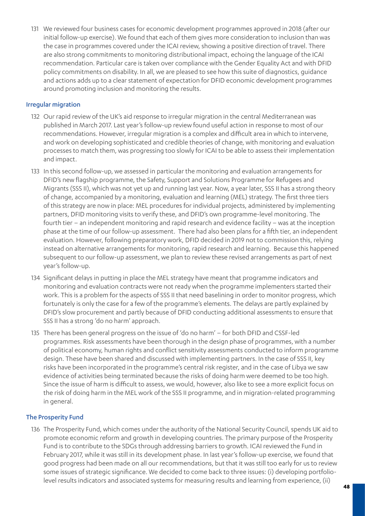131 We reviewed four business cases for economic development programmes approved in 2018 (after our initial follow-up exercise). We found that each of them gives more consideration to inclusion than was the case in programmes covered under the ICAI review, showing a positive direction of travel. There are also strong commitments to monitoring distributional impact, echoing the language of the ICAI recommendation. Particular care is taken over compliance with the Gender Equality Act and with DFID policy commitments on disability. In all, we are pleased to see how this suite of diagnostics, guidance and actions adds up to a clear statement of expectation for DFID economic development programmes around promoting inclusion and monitoring the results.

#### Irregular migration

- 132 Our rapid review of the UK's aid response to irregular migration in the central Mediterranean was published in March 2017. Last year's follow-up review found useful action in response to most of our recommendations. However, irregular migration is a complex and difficult area in which to intervene, and work on developing sophisticated and credible theories of change, with monitoring and evaluation processes to match them, was progressing too slowly for ICAI to be able to assess their implementation and impact.
- 133 In this second follow-up, we assessed in particular the monitoring and evaluation arrangements for DFID's new flagship programme, the Safety, Support and Solutions Programme for Refugees and Migrants (SSS II), which was not yet up and running last year. Now, a year later, SSS II has a strong theory of change, accompanied by a monitoring, evaluation and learning (MEL) strategy. The first three tiers of this strategy are now in place: MEL procedures for individual projects, administered by implementing partners, DFID monitoring visits to verify these, and DFID's own programme-level monitoring. The fourth tier – an independent monitoring and rapid research and evidence facility – was at the inception phase at the time of our follow-up assessment. There had also been plans for a fifth tier, an independent evaluation. However, following preparatory work, DFID decided in 2019 not to commission this, relying instead on alternative arrangements for monitoring, rapid research and learning. Because this happened subsequent to our follow-up assessment, we plan to review these revised arrangements as part of next year's follow-up.
- 134 Significant delays in putting in place the MEL strategy have meant that programme indicators and monitoring and evaluation contracts were not ready when the programme implementers started their work. This is a problem for the aspects of SSS II that need baselining in order to monitor progress, which fortunately is only the case for a few of the programme's elements. The delays are partly explained by DFID's slow procurement and partly because of DFID conducting additional assessments to ensure that SSS II has a strong 'do no harm' approach.
- 135 There has been general progress on the issue of 'do no harm' for both DFID and CSSF-led programmes. Risk assessments have been thorough in the design phase of programmes, with a number of political economy, human rights and conflict sensitivity assessments conducted to inform programme design. These have been shared and discussed with implementing partners. In the case of SSS II, key risks have been incorporated in the programme's central risk register, and in the case of Libya we saw evidence of activities being terminated because the risks of doing harm were deemed to be too high. Since the issue of harm is difficult to assess, we would, however, also like to see a more explicit focus on the risk of doing harm in the MEL work of the SSS II programme, and in migration-related programming in general.

#### The Prosperity Fund

136 The Prosperity Fund, which comes under the authority of the National Security Council, spends UK aid to promote economic reform and growth in developing countries. The primary purpose of the Prosperity Fund is to contribute to the SDGs through addressing barriers to growth. ICAI reviewed the Fund in February 2017, while it was still in its development phase. In last year's follow-up exercise, we found that good progress had been made on all our recommendations, but that it was still too early for us to review some issues of strategic significance. We decided to come back to three issues: (i) developing portfoliolevel results indicators and associated systems for measuring results and learning from experience, (ii)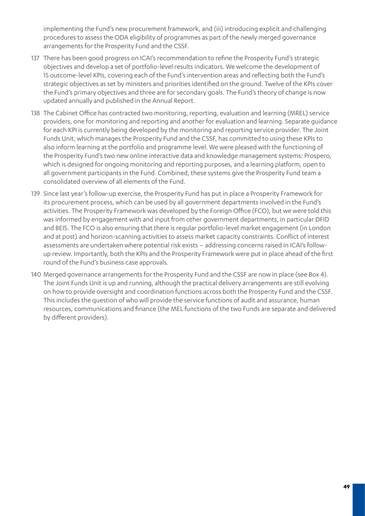implementing the Fund's new procurement framework, and (iii) introducing explicit and challenging procedures to assess the ODA eligibility of programmes as part of the newly merged governance arrangements for the Prosperity Fund and the CSSF.

- 137 There has been good progress on ICAI's recommendation to refine the Prosperity Fund's strategic objectives and develop a set of portfolio-level results indicators. We welcome the development of 15 outcome-level KPIs, covering each of the Fund's intervention areas and reflecting both the Fund's strategic objectives as set by ministers and priorities identified on the ground. Twelve of the KPIs cover the Fund's primary objectives and three are for secondary goals. The Fund's theory of change is now updated annually and published in the Annual Report.
- 138 The Cabinet Office has contracted two monitoring, reporting, evaluation and learning (MREL) service providers, one for monitoring and reporting and another for evaluation and learning. Separate guidance for each KPI is currently being developed by the monitoring and reporting service provider. The Joint Funds Unit, which manages the Prosperity Fund and the CSSF, has committed to using these KPIs to also inform learning at the portfolio and programme level. We were pleased with the functioning of the Prosperity Fund's two new online interactive data and knowledge management systems: Prospero, which is designed for ongoing monitoring and reporting purposes, and a learning platform, open to all government participants in the Fund. Combined, these systems give the Prosperity Fund team a consolidated overview of all elements of the Fund.
- 139 Since last year's follow-up exercise, the Prosperity Fund has put in place a Prosperity Framework for its procurement process, which can be used by all government departments involved in the Fund's activities. The Prosperity Framework was developed by the Foreign Office (FCO), but we were told this was informed by engagement with and input from other government departments, in particular DFID and BEIS. The FCO is also ensuring that there is regular portfolio-level market engagement (in London and at post) and horizon-scanning activities to assess market capacity constraints. Conflict of interest assessments are undertaken where potential risk exists – addressing concerns raised in ICAI's followup review. Importantly, both the KPIs and the Prosperity Framework were put in place ahead of the first round of the Fund's business case approvals.
- 140 Merged governance arrangements for the Prosperity Fund and the CSSF are now in place (see Box 4). The Joint Funds Unit is up and running, although the practical delivery arrangements are still evolving on how to provide oversight and coordination functions across both the Prosperity Fund and the CSSF. This includes the question of who will provide the service functions of audit and assurance, human resources, communications and finance (the MEL functions of the two Funds are separate and delivered by different providers).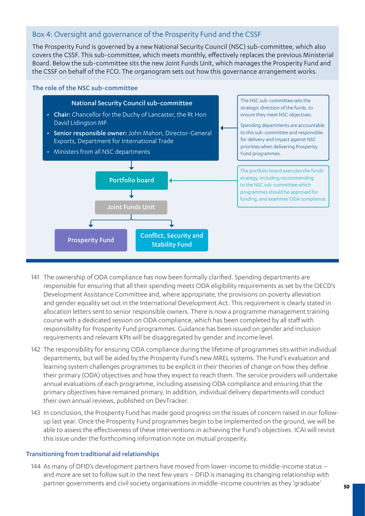## Box 4: Oversight and governance of the Prosperity Fund and the CSSF

The Prosperity Fund is governed by a new National Security Council (NSC) sub-committee, which also covers the CSSF. This sub-committee, which meets monthly, effectively replaces the previous Ministerial Board. Below the sub-committee sits the new Joint Funds Unit, which manages the Prosperity Fund and the CSSF on behalf of the FCO. The organogram sets out how this governance arrangement works.

The role of the NSC sub-committee



- 141 The ownership of ODA compliance has now been formally clarified. Spending departments are responsible for ensuring that all their spending meets ODA eligibility requirements as set by the OECD's Development Assistance Committee and, where appropriate, the provisions on poverty alleviation and gender equality set out in the International Development Act. This requirement is clearly stated in allocation letters sent to senior responsible owners. There is now a programme management training course with a dedicated session on ODA compliance, which has been completed by all staff with responsibility for Prosperity Fund programmes. Guidance has been issued on gender and inclusion requirements and relevant KPIs will be disaggregated by gender and income level.
- 142 The responsibility for ensuring ODA compliance during the lifetime of programmes sits within individual departments, but will be aided by the Prosperity Fund's new MREL systems. The Fund's evaluation and learning system challenges programmes to be explicit in their theories of change on how they define their primary (ODA) objectives and how they expect to reach them. The service providers will undertake annual evaluations of each programme, including assessing ODA compliance and ensuring that the primary objectives have remained primary. In addition, individual delivery departments will conduct their own annual reviews, published on DevTracker.
- 143 In conclusion, the Prosperity Fund has made good progress on the issues of concern raised in our followup last year. Once the Prosperity Fund programmes begin to be implemented on the ground, we will be able to assess the effectiveness of these interventions in achieving the Fund's objectives. ICAI will revisit this issue under the forthcoming information note on mutual prosperity.

#### Transitioning from traditional aid relationships

144 As many of DFID's development partners have moved from lower-income to middle-income status – and more are set to follow suit in the next few years – DFID is managing its changing relationship with partner governments and civil society organisations in middle-income countries as they 'graduate'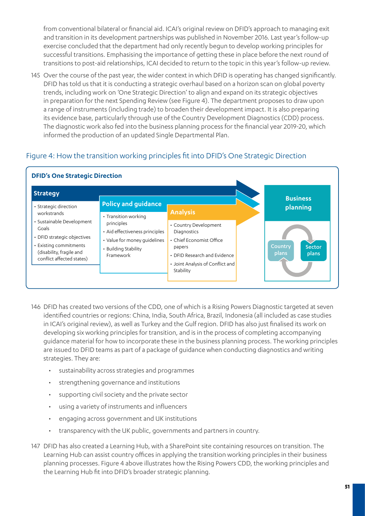from conventional bilateral or financial aid. ICAI's original review on DFID's approach to managing exit and transition in its development partnerships was published in November 2016. Last year's follow-up exercise concluded that the department had only recently begun to develop working principles for successful transitions. Emphasising the importance of getting these in place before the next round of transitions to post-aid relationships, ICAI decided to return to the topic in this year's follow-up review.

145 Over the course of the past year, the wider context in which DFID is operating has changed significantly. DFID has told us that it is conducting a strategic overhaul based on a horizon scan on global poverty trends, including work on 'One Strategic Direction' to align and expand on its strategic objectives in preparation for the next Spending Review (see Figure 4). The department proposes to draw upon a range of instruments (including trade) to broaden their development impact. It is also preparing its evidence base, particularly through use of the Country Development Diagnostics (CDD) process. The diagnostic work also fed into the business planning process for the financial year 2019-20, which informed the production of an updated Single Departmental Plan.

## Figure 4: How the transition working principles fit into DFID's One Strategic Direction



#### **DFID's One Strategic Direction**

- 146 DFID has created two versions of the CDD, one of which is a Rising Powers Diagnostic targeted at seven identified countries or regions: China, India, South Africa, Brazil, Indonesia (all included as case studies in ICAI's original review), as well as Turkey and the Gulf region. DFID has also just finalised its work on developing six working principles for transition, and is in the process of completing accompanying guidance material for how to incorporate these in the business planning process. The working principles are issued to DFID teams as part of a package of guidance when conducting diagnostics and writing strategies. They are:
	- sustainability across strategies and programmes
	- strengthening governance and institutions
	- supporting civil society and the private sector
	- using a variety of instruments and influencers
	- engaging across government and UK institutions
	- transparency with the UK public, governments and partners in country.
- 147 DFID has also created a Learning Hub, with a SharePoint site containing resources on transition. The Learning Hub can assist country offices in applying the transition working principles in their business planning processes. Figure 4 above illustrates how the Rising Powers CDD, the working principles and the Learning Hub fit into DFID's broader strategic planning.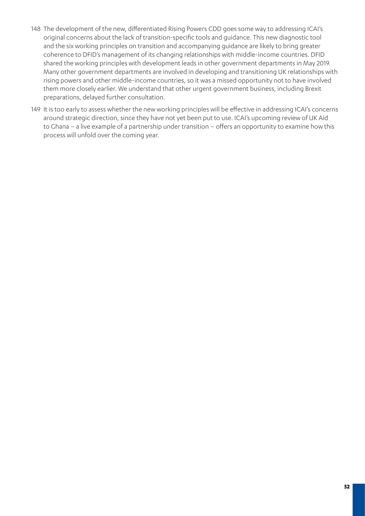- 148 The development of the new, differentiated Rising Powers CDD goes some way to addressing ICAI's original concerns about the lack of transition-specific tools and guidance. This new diagnostic tool and the six working principles on transition and accompanying guidance are likely to bring greater coherence to DFID's management of its changing relationships with middle-income countries. DFID shared the working principles with development leads in other government departments in May 2019. Many other government departments are involved in developing and transitioning UK relationships with rising powers and other middle-income countries, so it was a missed opportunity not to have involved them more closely earlier. We understand that other urgent government business, including Brexit preparations, delayed further consultation.
- 149 It is too early to assess whether the new working principles will be effective in addressing ICAI's concerns around strategic direction, since they have not yet been put to use. ICAI's upcoming review of UK Aid to Ghana – a live example of a partnership under transition – offers an opportunity to examine how this process will unfold over the coming year.